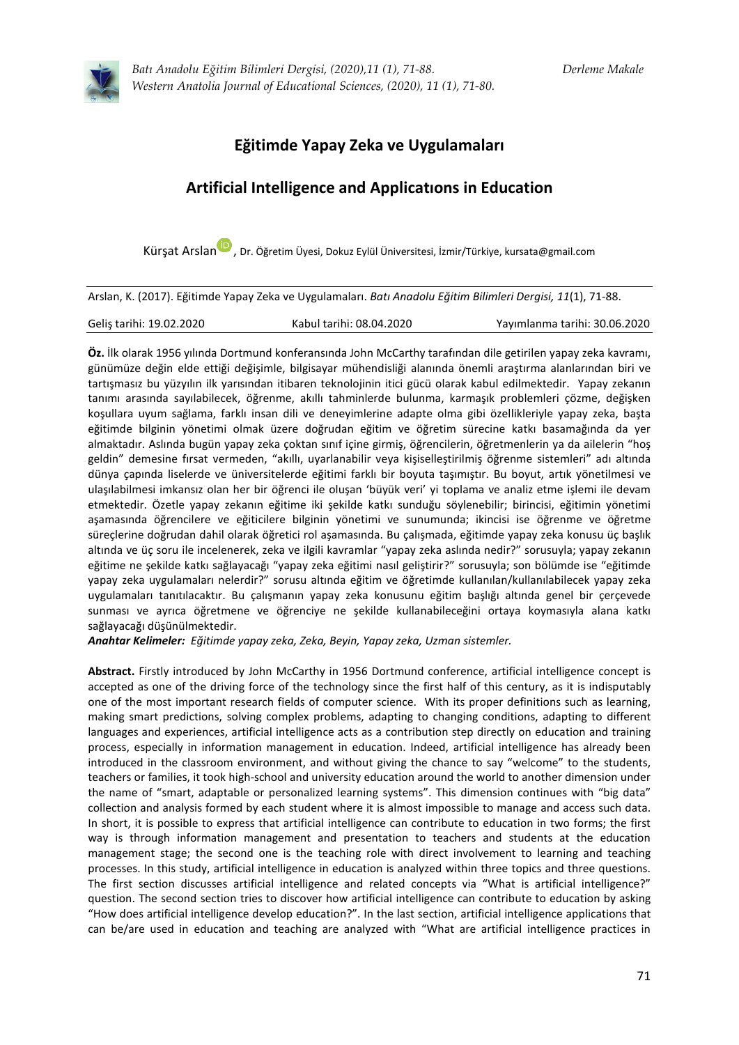

*Batı Anadolu Eğitim Bilimleri Dergisi, (2020),11 (1), 71-88. Derleme Makale Western Anatolia Journal of Educational Sciences, (2020), 11 (1), 71-80.*

# **Eğitimde Yapay Zeka ve Uygulamaları**

# **Artificial Intelligence and Applicatıons in Education**

Kürsat Arsla[n](https://orcid.org/0000-0003-4680-9561)<sup>D</sup>, Dr. Öğretim Üyesi, Dokuz Eylül Üniversitesi, İzmir/Türkiye, kursata@gmail.com

Arslan, K. (2017). Eğitimde Yapay Zeka ve Uygulamaları. *Batı Anadolu Eğitim Bilimleri Dergisi, 11*(1), 71-88.

| Geliş tarihi: 19.02.2020 | Kabul tarihi: 08.04.2020 | Yayımlanma tarihi: 30.06.2020 |
|--------------------------|--------------------------|-------------------------------|
|                          |                          |                               |

**Öz.** İlk olarak 1956 yılında Dortmund konferansında John McCarthy tarafından dile getirilen yapay zeka kavramı, günümüze değin elde ettiği değişimle, bilgisayar mühendisliği alanında önemli araştırma alanlarından biri ve tartışmasız bu yüzyılın ilk yarısından itibaren teknolojinin itici gücü olarak kabul edilmektedir. Yapay zekanın tanımı arasında sayılabilecek, öğrenme, akıllı tahminlerde bulunma, karmaşık problemleri çözme, değişken koşullara uyum sağlama, farklı insan dili ve deneyimlerine adapte olma gibi özellikleriyle yapay zeka, başta eğitimde bilginin yönetimi olmak üzere doğrudan eğitim ve öğretim sürecine katkı basamağında da yer almaktadır. Aslında bugün yapay zeka çoktan sınıf içine girmiş, öğrencilerin, öğretmenlerin ya da ailelerin "hoş geldin" demesine fırsat vermeden, "akıllı, uyarlanabilir veya kişiselleştirilmiş öğrenme sistemleri" adı altında dünya çapında liselerde ve üniversitelerde eğitimi farklı bir boyuta taşımıştır. Bu boyut, artık yönetilmesi ve ulaşılabilmesi imkansız olan her bir öğrenci ile oluşan 'büyük veri' yi toplama ve analiz etme işlemi ile devam etmektedir. Özetle yapay zekanın eğitime iki şekilde katkı sunduğu söylenebilir; birincisi, eğitimin yönetimi aşamasında öğrencilere ve eğiticilere bilginin yönetimi ve sunumunda; ikincisi ise öğrenme ve öğretme süreçlerine doğrudan dahil olarak öğretici rol aşamasında. Bu çalışmada, eğitimde yapay zeka konusu üç başlık altında ve üç soru ile incelenerek, zeka ve ilgili kavramlar "yapay zeka aslında nedir?" sorusuyla; yapay zekanın eğitime ne şekilde katkı sağlayacağı "yapay zeka eğitimi nasıl geliştirir?" sorusuyla; son bölümde ise "eğitimde yapay zeka uygulamaları nelerdir?" sorusu altında eğitim ve öğretimde kullanılan/kullanılabilecek yapay zeka uygulamaları tanıtılacaktır. Bu çalışmanın yapay zeka konusunu eğitim başlığı altında genel bir çerçevede sunması ve ayrıca öğretmene ve öğrenciye ne şekilde kullanabileceğini ortaya koymasıyla alana katkı sağlayacağı düşünülmektedir.

*Anahtar Kelimeler: Eğitimde yapay zeka, Zeka, Beyin, Yapay zeka, Uzman sistemler.*

**Abstract.** Firstly introduced by John McCarthy in 1956 Dortmund conference, artificial intelligence concept is accepted as one of the driving force of the technology since the first half of this century, as it is indisputably one of the most important research fields of computer science. With its proper definitions such as learning, making smart predictions, solving complex problems, adapting to changing conditions, adapting to different languages and experiences, artificial intelligence acts as a contribution step directly on education and training process, especially in information management in education. Indeed, artificial intelligence has already been introduced in the classroom environment, and without giving the chance to say "welcome" to the students, teachers or families, it took high-school and university education around the world to another dimension under the name of "smart, adaptable or personalized learning systems". This dimension continues with "big data" collection and analysis formed by each student where it is almost impossible to manage and access such data. In short, it is possible to express that artificial intelligence can contribute to education in two forms; the first way is through information management and presentation to teachers and students at the education management stage; the second one is the teaching role with direct involvement to learning and teaching processes. In this study, artificial intelligence in education is analyzed within three topics and three questions. The first section discusses artificial intelligence and related concepts via "What is artificial intelligence?" question. The second section tries to discover how artificial intelligence can contribute to education by asking "How does artificial intelligence develop education?". In the last section, artificial intelligence applications that can be/are used in education and teaching are analyzed with "What are artificial intelligence practices in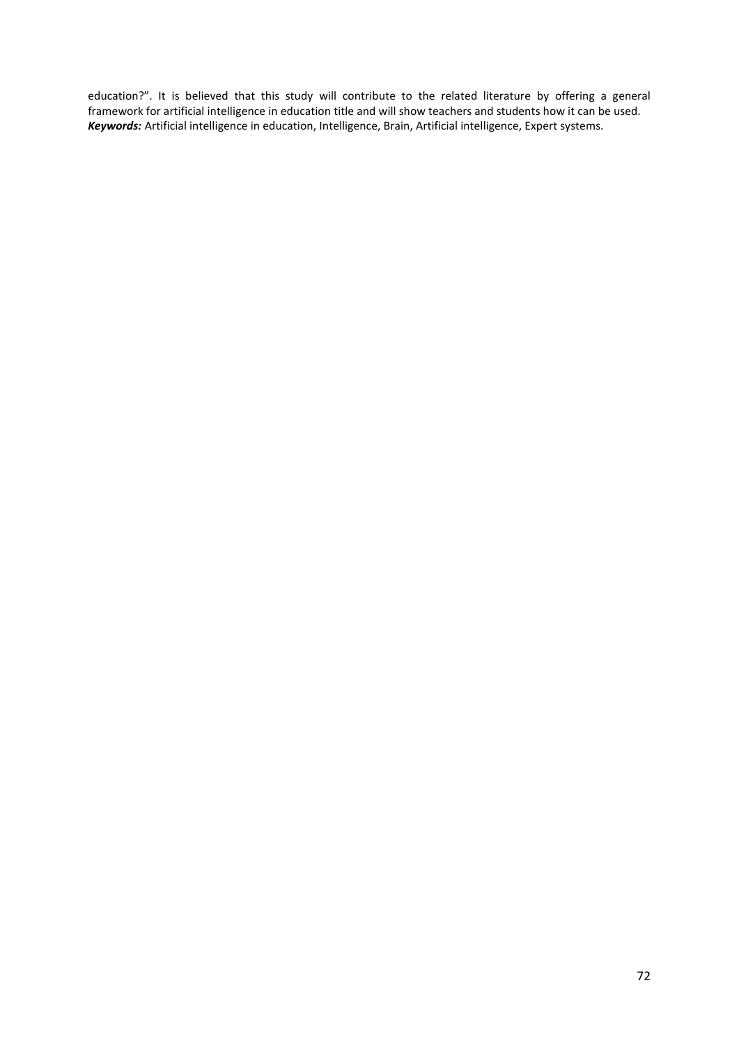education?". It is believed that this study will contribute to the related literature by offering a general framework for artificial intelligence in education title and will show teachers and students how it can be used. *Keywords:* Artificial intelligence in education, Intelligence, Brain, Artificial intelligence, Expert systems.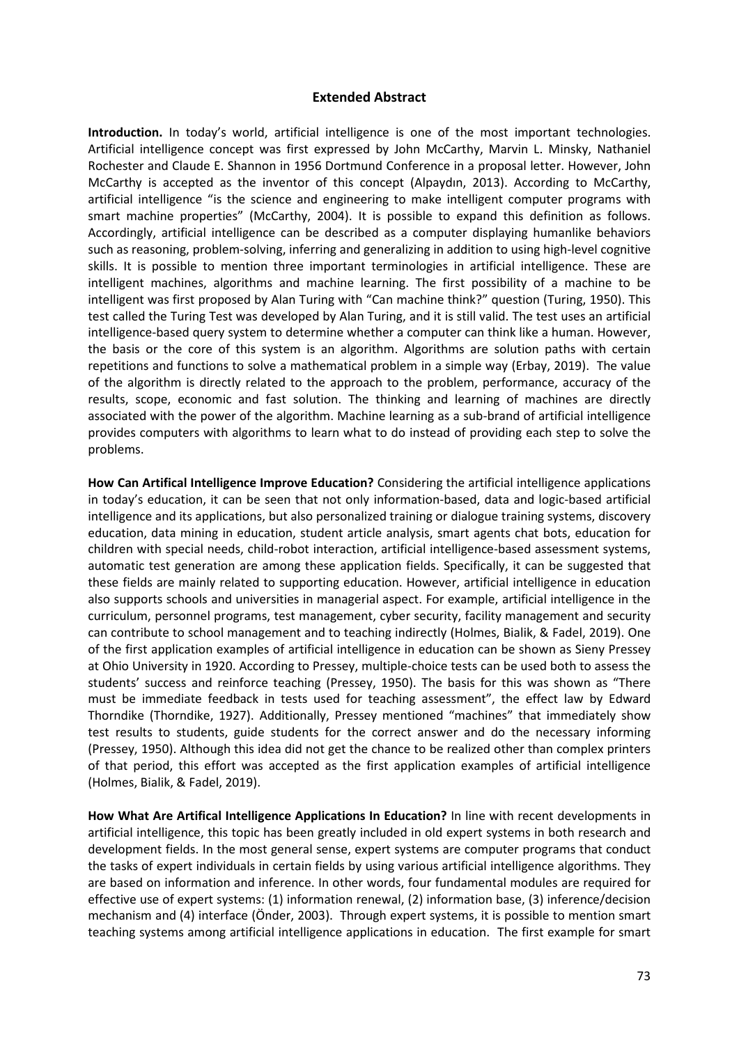### **Extended Abstract**

**Introduction.** In today's world, artificial intelligence is one of the most important technologies. Artificial intelligence concept was first expressed by John McCarthy, Marvin L. Minsky, Nathaniel Rochester and Claude E. Shannon in 1956 Dortmund Conference in a proposal letter. However, John McCarthy is accepted as the inventor of this concept (Alpaydın, 2013). According to McCarthy, artificial intelligence "is the science and engineering to make intelligent computer programs with smart machine properties" (McCarthy, 2004). It is possible to expand this definition as follows. Accordingly, artificial intelligence can be described as a computer displaying humanlike behaviors such as reasoning, problem-solving, inferring and generalizing in addition to using high-level cognitive skills. It is possible to mention three important terminologies in artificial intelligence. These are intelligent machines, algorithms and machine learning. The first possibility of a machine to be intelligent was first proposed by Alan Turing with "Can machine think?" question (Turing, 1950). This test called the Turing Test was developed by Alan Turing, and it is still valid. The test uses an artificial intelligence-based query system to determine whether a computer can think like a human. However, the basis or the core of this system is an algorithm. Algorithms are solution paths with certain repetitions and functions to solve a mathematical problem in a simple way (Erbay, 2019). The value of the algorithm is directly related to the approach to the problem, performance, accuracy of the results, scope, economic and fast solution. The thinking and learning of machines are directly associated with the power of the algorithm. Machine learning as a sub-brand of artificial intelligence provides computers with algorithms to learn what to do instead of providing each step to solve the problems.

**How Can Artifical Intelligence Improve Education?** Considering the artificial intelligence applications in today's education, it can be seen that not only information-based, data and logic-based artificial intelligence and its applications, but also personalized training or dialogue training systems, discovery education, data mining in education, student article analysis, smart agents chat bots, education for children with special needs, child-robot interaction, artificial intelligence-based assessment systems, automatic test generation are among these application fields. Specifically, it can be suggested that these fields are mainly related to supporting education. However, artificial intelligence in education also supports schools and universities in managerial aspect. For example, artificial intelligence in the curriculum, personnel programs, test management, cyber security, facility management and security can contribute to school management and to teaching indirectly (Holmes, Bialik, & Fadel, 2019). One of the first application examples of artificial intelligence in education can be shown as Sieny Pressey at Ohio University in 1920. According to Pressey, multiple-choice tests can be used both to assess the students' success and reinforce teaching (Pressey, 1950). The basis for this was shown as "There must be immediate feedback in tests used for teaching assessment", the effect law by Edward Thorndike (Thorndike, 1927). Additionally, Pressey mentioned "machines" that immediately show test results to students, guide students for the correct answer and do the necessary informing (Pressey, 1950). Although this idea did not get the chance to be realized other than complex printers of that period, this effort was accepted as the first application examples of artificial intelligence (Holmes, Bialik, & Fadel, 2019).

**How What Are Artifical Intelligence Applications In Education?** In line with recent developments in artificial intelligence, this topic has been greatly included in old expert systems in both research and development fields. In the most general sense, expert systems are computer programs that conduct the tasks of expert individuals in certain fields by using various artificial intelligence algorithms. They are based on information and inference. In other words, four fundamental modules are required for effective use of expert systems: (1) information renewal, (2) information base, (3) inference/decision mechanism and (4) interface (Önder, 2003). Through expert systems, it is possible to mention smart teaching systems among artificial intelligence applications in education. The first example for smart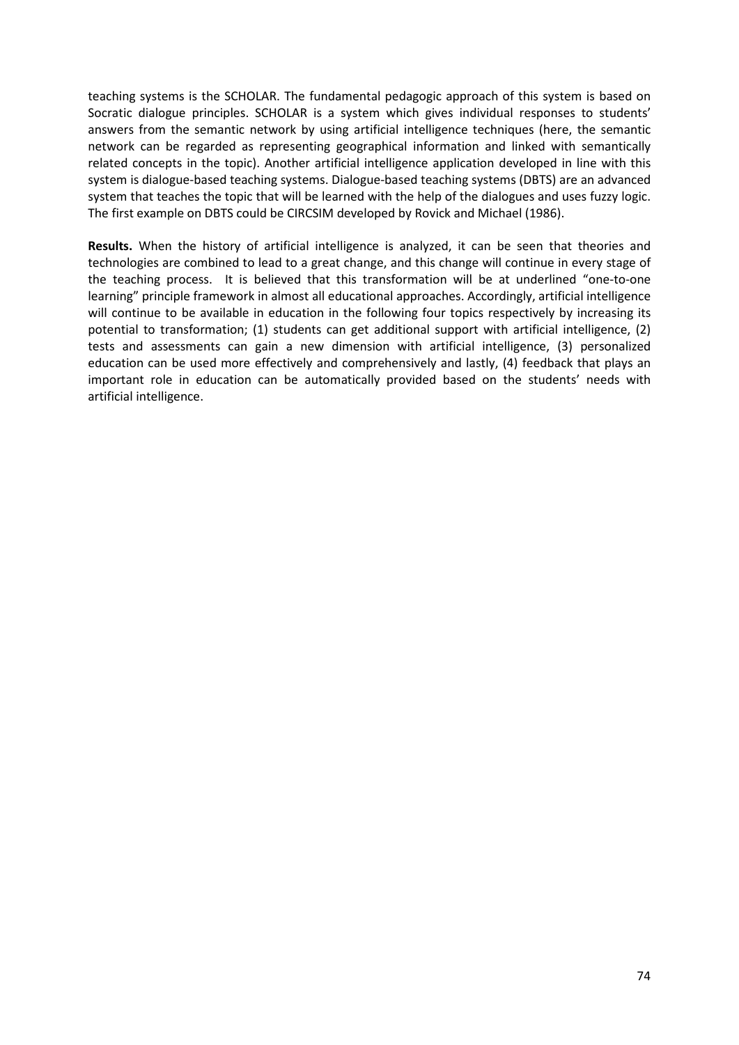teaching systems is the SCHOLAR. The fundamental pedagogic approach of this system is based on Socratic dialogue principles. SCHOLAR is a system which gives individual responses to students' answers from the semantic network by using artificial intelligence techniques (here, the semantic network can be regarded as representing geographical information and linked with semantically related concepts in the topic). Another artificial intelligence application developed in line with this system is dialogue-based teaching systems. Dialogue-based teaching systems (DBTS) are an advanced system that teaches the topic that will be learned with the help of the dialogues and uses fuzzy logic. The first example on DBTS could be CIRCSIM developed by Rovick and Michael (1986).

**Results.** When the history of artificial intelligence is analyzed, it can be seen that theories and technologies are combined to lead to a great change, and this change will continue in every stage of the teaching process. It is believed that this transformation will be at underlined "one-to-one learning" principle framework in almost all educational approaches. Accordingly, artificial intelligence will continue to be available in education in the following four topics respectively by increasing its potential to transformation; (1) students can get additional support with artificial intelligence, (2) tests and assessments can gain a new dimension with artificial intelligence, (3) personalized education can be used more effectively and comprehensively and lastly, (4) feedback that plays an important role in education can be automatically provided based on the students' needs with artificial intelligence.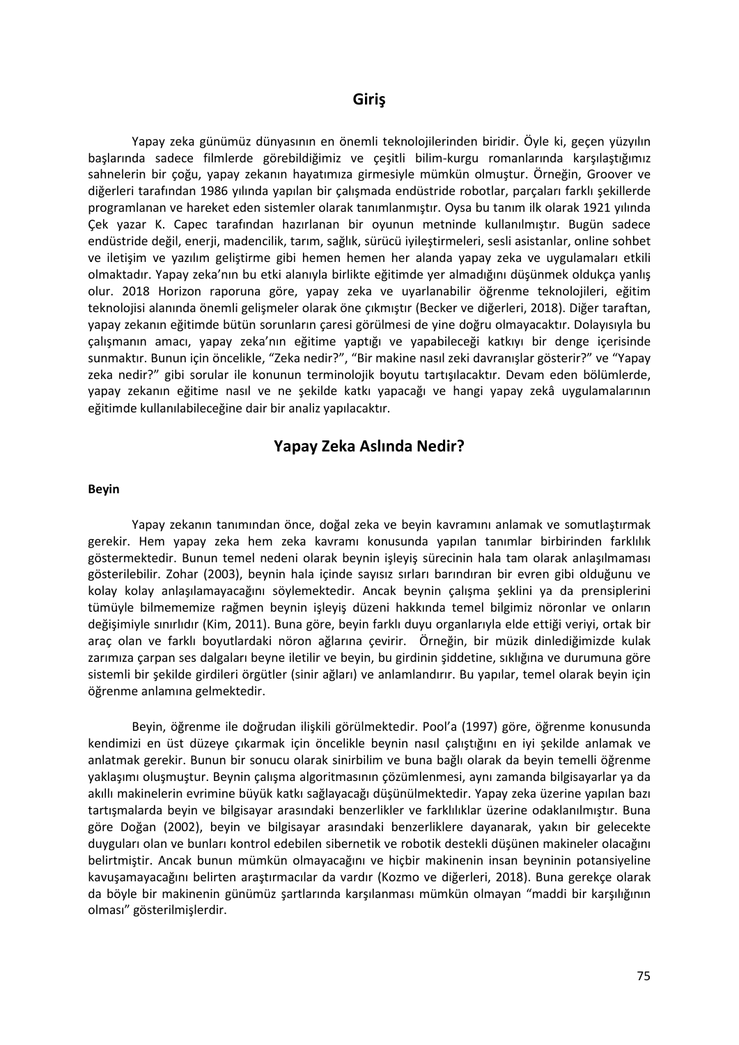## **Giriş**

Yapay zeka günümüz dünyasının en önemli teknolojilerinden biridir. Öyle ki, geçen yüzyılın başlarında sadece filmlerde görebildiğimiz ve çeşitli bilim-kurgu romanlarında karşılaştığımız sahnelerin bir çoğu, yapay zekanın hayatımıza girmesiyle mümkün olmuştur. Örneğin, Groover ve diğerleri tarafından 1986 yılında yapılan bir çalışmada endüstride robotlar, parçaları farklı şekillerde programlanan ve hareket eden sistemler olarak tanımlanmıştır. Oysa bu tanım ilk olarak 1921 yılında Çek yazar K. Capec tarafından hazırlanan bir oyunun metninde kullanılmıştır. Bugün sadece endüstride değil, enerji, madencilik, tarım, sağlık, sürücü iyileştirmeleri, sesli asistanlar, online sohbet ve iletişim ve yazılım geliştirme gibi hemen hemen her alanda yapay zeka ve uygulamaları etkili olmaktadır. Yapay zeka'nın bu etki alanıyla birlikte eğitimde yer almadığını düşünmek oldukça yanlış olur. 2018 Horizon raporuna göre, yapay zeka ve uyarlanabilir öğrenme teknolojileri, eğitim teknolojisi alanında önemli gelişmeler olarak öne çıkmıştır (Becker ve diğerleri, 2018). Diğer taraftan, yapay zekanın eğitimde bütün sorunların çaresi görülmesi de yine doğru olmayacaktır. Dolayısıyla bu çalışmanın amacı, yapay zeka'nın eğitime yaptığı ve yapabileceği katkıyı bir denge içerisinde sunmaktır. Bunun için öncelikle, "Zeka nedir?", "Bir makine nasıl zeki davranışlar gösterir?" ve "Yapay zeka nedir?" gibi sorular ile konunun terminolojik boyutu tartışılacaktır. Devam eden bölümlerde, yapay zekanın eğitime nasıl ve ne şekilde katkı yapacağı ve hangi yapay zekâ uygulamalarının eğitimde kullanılabileceğine dair bir analiz yapılacaktır.

## **Yapay Zeka Aslında Nedir?**

#### **Beyin**

Yapay zekanın tanımından önce, doğal zeka ve beyin kavramını anlamak ve somutlaştırmak gerekir. Hem yapay zeka hem zeka kavramı konusunda yapılan tanımlar birbirinden farklılık göstermektedir. Bunun temel nedeni olarak beynin işleyiş sürecinin hala tam olarak anlaşılmaması gösterilebilir. Zohar (2003), beynin hala içinde sayısız sırları barındıran bir evren gibi olduğunu ve kolay kolay anlaşılamayacağını söylemektedir. Ancak beynin çalışma şeklini ya da prensiplerini tümüyle bilmememize rağmen beynin işleyiş düzeni hakkında temel bilgimiz nöronlar ve onların değişimiyle sınırlıdır (Kim, 2011). Buna göre, beyin farklı duyu organlarıyla elde ettiği veriyi, ortak bir araç olan ve farklı boyutlardaki nöron ağlarına çevirir. Örneğin, bir müzik dinlediğimizde kulak zarımıza çarpan ses dalgaları beyne iletilir ve beyin, bu girdinin şiddetine, sıklığına ve durumuna göre sistemli bir şekilde girdileri örgütler (sinir ağları) ve anlamlandırır. Bu yapılar, temel olarak beyin için öğrenme anlamına gelmektedir.

Beyin, öğrenme ile doğrudan ilişkili görülmektedir. Pool'a (1997) göre, öğrenme konusunda kendimizi en üst düzeye çıkarmak için öncelikle beynin nasıl çalıştığını en iyi şekilde anlamak ve anlatmak gerekir. Bunun bir sonucu olarak sinirbilim ve buna bağlı olarak da beyin temelli öğrenme yaklaşımı oluşmuştur. Beynin çalışma algoritmasının çözümlenmesi, aynı zamanda bilgisayarlar ya da akıllı makinelerin evrimine büyük katkı sağlayacağı düşünülmektedir. Yapay zeka üzerine yapılan bazı tartışmalarda beyin ve bilgisayar arasındaki benzerlikler ve farklılıklar üzerine odaklanılmıştır. Buna göre Doğan (2002), beyin ve bilgisayar arasındaki benzerliklere dayanarak, yakın bir gelecekte duyguları olan ve bunları kontrol edebilen sibernetik ve robotik destekli düşünen makineler olacağını belirtmiştir. Ancak bunun mümkün olmayacağını ve hiçbir makinenin insan beyninin potansiyeline kavuşamayacağını belirten araştırmacılar da vardır (Kozmo ve diğerleri, 2018). Buna gerekçe olarak da böyle bir makinenin günümüz şartlarında karşılanması mümkün olmayan "maddi bir karşılığının olması" gösterilmişlerdir.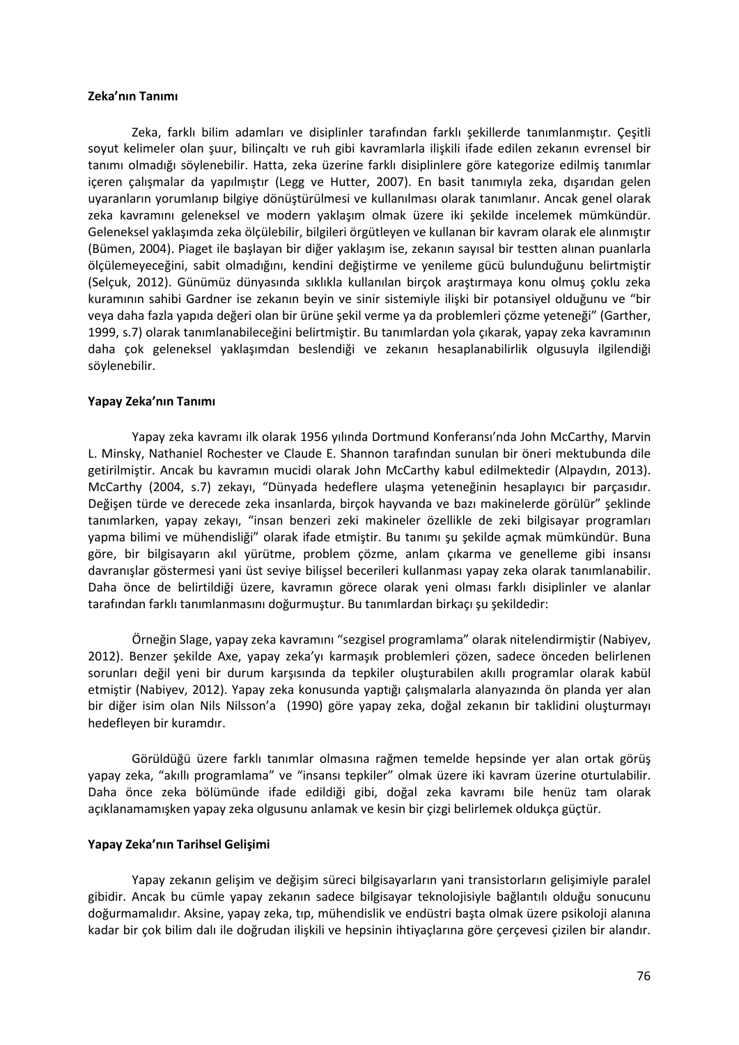#### **Zeka'nın Tanımı**

Zeka, farklı bilim adamları ve disiplinler tarafından farklı şekillerde tanımlanmıştır. Çeşitli soyut kelimeler olan şuur, bilinçaltı ve ruh gibi kavramlarla ilişkili ifade edilen zekanın evrensel bir tanımı olmadığı söylenebilir. Hatta, zeka üzerine farklı disiplinlere göre kategorize edilmiş tanımlar içeren çalışmalar da yapılmıştır (Legg ve Hutter, 2007). En basit tanımıyla zeka, dışarıdan gelen uyaranların yorumlanıp bilgiye dönüştürülmesi ve kullanılması olarak tanımlanır. Ancak genel olarak zeka kavramını geleneksel ve modern yaklaşım olmak üzere iki şekilde incelemek mümkündür. Geleneksel yaklaşımda zeka ölçülebilir, bilgileri örgütleyen ve kullanan bir kavram olarak ele alınmıştır (Bümen, 2004). Piaget ile başlayan bir diğer yaklaşım ise, zekanın sayısal bir testten alınan puanlarla ölçülemeyeceğini, sabit olmadığını, kendini değiştirme ve yenileme gücü bulunduğunu belirtmiştir (Selçuk, 2012). Günümüz dünyasında sıklıkla kullanılan birçok araştırmaya konu olmuş çoklu zeka kuramının sahibi Gardner ise zekanın beyin ve sinir sistemiyle ilişki bir potansiyel olduğunu ve "bir veya daha fazla yapıda değeri olan bir ürüne şekil verme ya da problemleri çözme yeteneği" (Garther, 1999, s.7) olarak tanımlanabileceğini belirtmiştir. Bu tanımlardan yola çıkarak, yapay zeka kavramının daha çok geleneksel yaklaşımdan beslendiği ve zekanın hesaplanabilirlik olgusuyla ilgilendiği söylenebilir.

#### **Yapay Zeka'nın Tanımı**

Yapay zeka kavramı ilk olarak 1956 yılında Dortmund Konferansı'nda John McCarthy, Marvin L. Minsky, Nathaniel Rochester ve Claude E. Shannon tarafından sunulan bir öneri mektubunda dile getirilmiştir. Ancak bu kavramın mucidi olarak John McCarthy kabul edilmektedir (Alpaydın, 2013). McCarthy (2004, s.7) zekayı, "Dünyada hedeflere ulaşma yeteneğinin hesaplayıcı bir parçasıdır. Değişen türde ve derecede zeka insanlarda, birçok hayvanda ve bazı makinelerde görülür" şeklinde tanımlarken, yapay zekayı, "insan benzeri zeki makineler özellikle de zeki bilgisayar programları yapma bilimi ve mühendisliği" olarak ifade etmiştir. Bu tanımı şu şekilde açmak mümkündür. Buna göre, bir bilgisayarın akıl yürütme, problem çözme, anlam çıkarma ve genelleme gibi insansı davranışlar göstermesi yani üst seviye bilişsel becerileri kullanması yapay zeka olarak tanımlanabilir. Daha önce de belirtildiği üzere, kavramın görece olarak yeni olması farklı disiplinler ve alanlar tarafından farklı tanımlanmasını doğurmuştur. Bu tanımlardan birkaçı şu şekildedir:

Örneğin Slage, yapay zeka kavramını "sezgisel programlama" olarak nitelendirmiştir (Nabiyev, 2012). Benzer şekilde Axe, yapay zeka'yı karmaşık problemleri çözen, sadece önceden belirlenen sorunları değil yeni bir durum karşısında da tepkiler oluşturabilen akıllı programlar olarak kabül etmiştir (Nabiyev, 2012). Yapay zeka konusunda yaptığı çalışmalarla alanyazında ön planda yer alan bir diğer isim olan Nils Nilsson'a (1990) göre yapay zeka, doğal zekanın bir taklidini oluşturmayı hedefleyen bir kuramdır.

Görüldüğü üzere farklı tanımlar olmasına rağmen temelde hepsinde yer alan ortak görüş yapay zeka, "akıllı programlama" ve "insansı tepkiler" olmak üzere iki kavram üzerine oturtulabilir. Daha önce zeka bölümünde ifade edildiği gibi, doğal zeka kavramı bile henüz tam olarak açıklanamamışken yapay zeka olgusunu anlamak ve kesin bir çizgi belirlemek oldukça güçtür.

#### **Yapay Zeka'nın Tarihsel Gelişimi**

Yapay zekanın gelişim ve değişim süreci bilgisayarların yani transistorların gelişimiyle paralel gibidir. Ancak bu cümle yapay zekanın sadece bilgisayar teknolojisiyle bağlantılı olduğu sonucunu doğurmamalıdır. Aksine, yapay zeka, tıp, mühendislik ve endüstri başta olmak üzere psikoloji alanına kadar bir çok bilim dalı ile doğrudan ilişkili ve hepsinin ihtiyaçlarına göre çerçevesi çizilen bir alandır.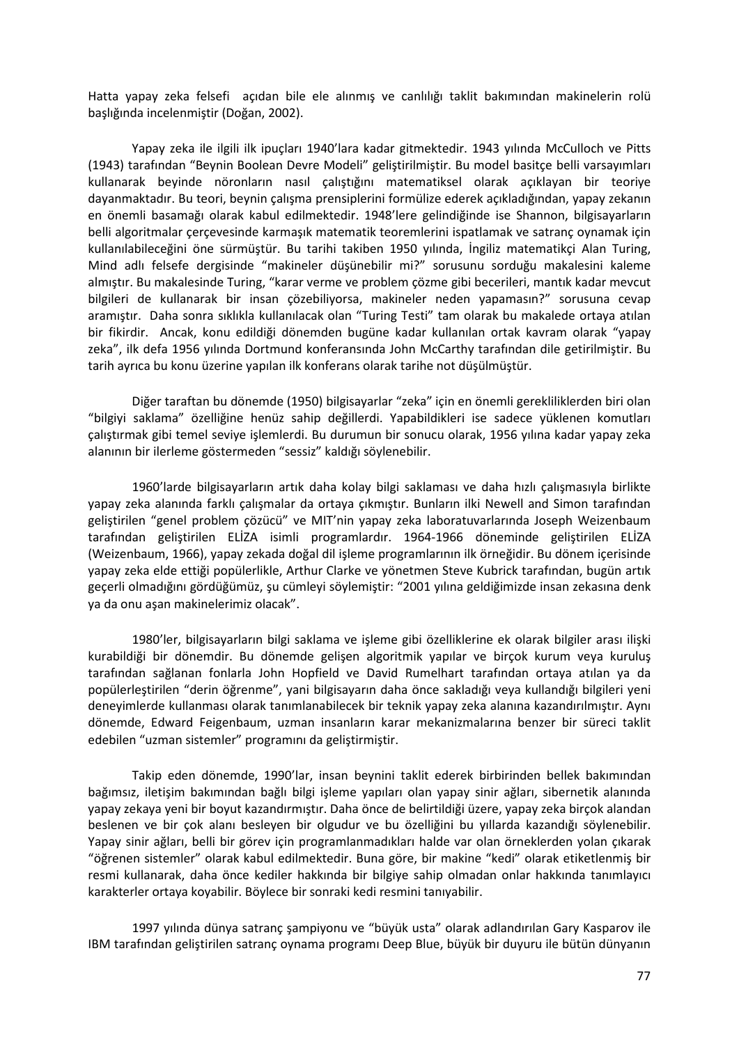Hatta yapay zeka felsefi açıdan bile ele alınmış ve canlılığı taklit bakımından makinelerin rolü başlığında incelenmiştir (Doğan, 2002).

Yapay zeka ile ilgili ilk ipuçları 1940'lara kadar gitmektedir. 1943 yılında McCulloch ve Pitts (1943) tarafından "Beynin Boolean Devre Modeli" geliştirilmiştir. Bu model basitçe belli varsayımları kullanarak beyinde nöronların nasıl çalıştığını matematiksel olarak açıklayan bir teoriye dayanmaktadır. Bu teori, beynin çalışma prensiplerini formülize ederek açıkladığından, yapay zekanın en önemli basamağı olarak kabul edilmektedir. 1948'lere gelindiğinde ise Shannon, bilgisayarların belli algoritmalar çerçevesinde karmaşık matematik teoremlerini ispatlamak ve satranç oynamak için kullanılabileceğini öne sürmüştür. Bu tarihi takiben 1950 yılında, İngiliz matematikçi Alan Turing, Mind adlı felsefe dergisinde "makineler düşünebilir mi?" sorusunu sorduğu makalesini kaleme almıştır. Bu makalesinde Turing, "karar verme ve problem çözme gibi becerileri, mantık kadar mevcut bilgileri de kullanarak bir insan çözebiliyorsa, makineler neden yapamasın?" sorusuna cevap aramıştır. Daha sonra sıklıkla kullanılacak olan "Turing Testi" tam olarak bu makalede ortaya atılan bir fikirdir. Ancak, konu edildiği dönemden bugüne kadar kullanılan ortak kavram olarak "yapay zeka", ilk defa 1956 yılında Dortmund konferansında John McCarthy tarafından dile getirilmiştir. Bu tarih ayrıca bu konu üzerine yapılan ilk konferans olarak tarihe not düşülmüştür.

Diğer taraftan bu dönemde (1950) bilgisayarlar "zeka" için en önemli gerekliliklerden biri olan "bilgiyi saklama" özelliğine henüz sahip değillerdi. Yapabildikleri ise sadece yüklenen komutları çalıştırmak gibi temel seviye işlemlerdi. Bu durumun bir sonucu olarak, 1956 yılına kadar yapay zeka alanının bir ilerleme göstermeden "sessiz" kaldığı söylenebilir.

1960'larde bilgisayarların artık daha kolay bilgi saklaması ve daha hızlı çalışmasıyla birlikte yapay zeka alanında farklı çalışmalar da ortaya çıkmıştır. Bunların ilki Newell and Simon tarafından geliştirilen "genel problem çözücü" ve MIT'nin yapay zeka laboratuvarlarında Joseph Weizenbaum tarafından geliştirilen ELİZA isimli programlardır. 1964-1966 döneminde geliştirilen ELİZA (Weizenbaum, 1966), yapay zekada doğal dil işleme programlarının ilk örneğidir. Bu dönem içerisinde yapay zeka elde ettiği popülerlikle, Arthur Clarke ve yönetmen Steve Kubrick tarafından, bugün artık geçerli olmadığını gördüğümüz, şu cümleyi söylemiştir: "2001 yılına geldiğimizde insan zekasına denk ya da onu aşan makinelerimiz olacak".

1980'ler, bilgisayarların bilgi saklama ve işleme gibi özelliklerine ek olarak bilgiler arası ilişki kurabildiği bir dönemdir. Bu dönemde gelişen algoritmik yapılar ve birçok kurum veya kuruluş tarafından sağlanan fonlarla John Hopfield ve David Rumelhart tarafından ortaya atılan ya da popülerleştirilen "derin öğrenme", yani bilgisayarın daha önce sakladığı veya kullandığı bilgileri yeni deneyimlerde kullanması olarak tanımlanabilecek bir teknik yapay zeka alanına kazandırılmıştır. Aynı dönemde, Edward Feigenbaum, uzman insanların karar mekanizmalarına benzer bir süreci taklit edebilen "uzman sistemler" programını da geliştirmiştir.

Takip eden dönemde, 1990'lar, insan beynini taklit ederek birbirinden bellek bakımından bağımsız, iletişim bakımından bağlı bilgi işleme yapıları olan yapay sinir ağları, sibernetik alanında yapay zekaya yeni bir boyut kazandırmıştır. Daha önce de belirtildiği üzere, yapay zeka birçok alandan beslenen ve bir çok alanı besleyen bir olgudur ve bu özelliğini bu yıllarda kazandığı söylenebilir. Yapay sinir ağları, belli bir görev için programlanmadıkları halde var olan örneklerden yolan çıkarak "öğrenen sistemler" olarak kabul edilmektedir. Buna göre, bir makine "kedi" olarak etiketlenmiş bir resmi kullanarak, daha önce kediler hakkında bir bilgiye sahip olmadan onlar hakkında tanımlayıcı karakterler ortaya koyabilir. Böylece bir sonraki kedi resmini tanıyabilir.

1997 yılında dünya satranç şampiyonu ve "büyük usta" olarak adlandırılan Gary Kasparov ile IBM tarafından geliştirilen satranç oynama programı Deep Blue, büyük bir duyuru ile bütün dünyanın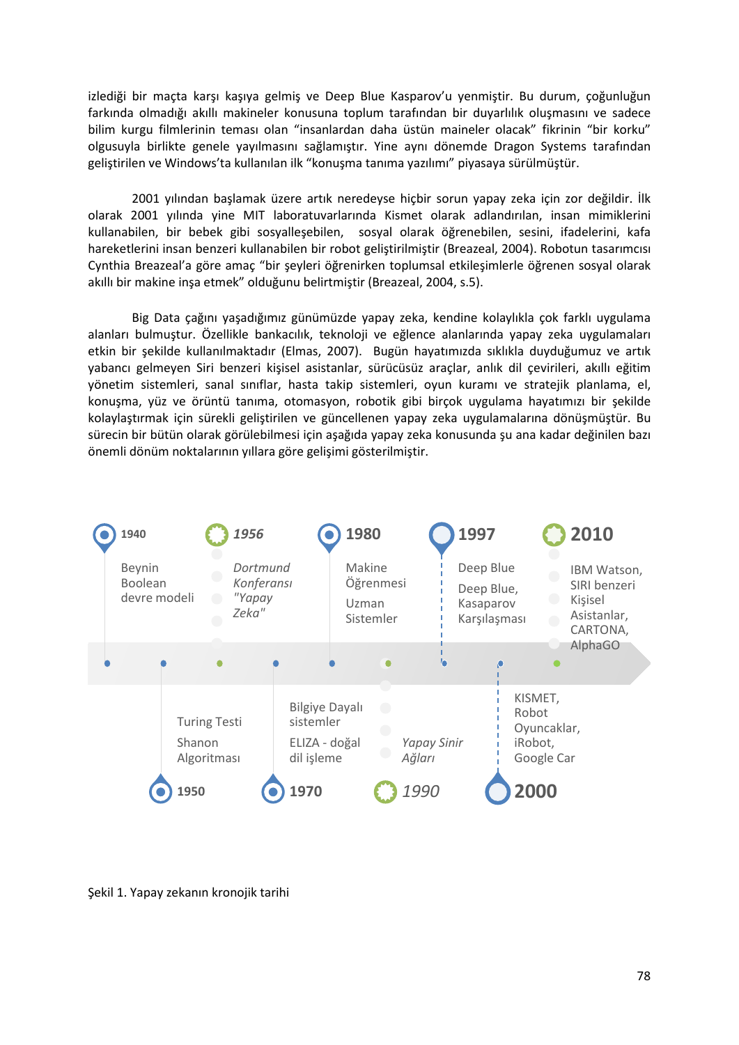izlediği bir maçta karşı kaşıya gelmiş ve Deep Blue Kasparov'u yenmiştir. Bu durum, çoğunluğun farkında olmadığı akıllı makineler konusuna toplum tarafından bir duyarlılık oluşmasını ve sadece bilim kurgu filmlerinin teması olan "insanlardan daha üstün maineler olacak" fikrinin "bir korku" olgusuyla birlikte genele yayılmasını sağlamıştır. Yine aynı dönemde Dragon Systems tarafından geliştirilen ve Windows'ta kullanılan ilk "konuşma tanıma yazılımı" piyasaya sürülmüştür.

2001 yılından başlamak üzere artık neredeyse hiçbir sorun yapay zeka için zor değildir. İlk olarak 2001 yılında yine MIT laboratuvarlarında Kismet olarak adlandırılan, insan mimiklerini kullanabilen, bir bebek gibi sosyalleşebilen, sosyal olarak öğrenebilen, sesini, ifadelerini, kafa hareketlerini insan benzeri kullanabilen bir robot geliştirilmiştir (Breazeal, 2004). Robotun tasarımcısı Cynthia Breazeal'a göre amaç "bir şeyleri öğrenirken toplumsal etkileşimlerle öğrenen sosyal olarak akıllı bir makine inşa etmek" olduğunu belirtmiştir (Breazeal, 2004, s.5).

Big Data çağını yaşadığımız günümüzde yapay zeka, kendine kolaylıkla çok farklı uygulama alanları bulmuştur. Özellikle bankacılık, teknoloji ve eğlence alanlarında yapay zeka uygulamaları etkin bir şekilde kullanılmaktadır (Elmas, 2007). Bugün hayatımızda sıklıkla duyduğumuz ve artık yabancı gelmeyen Siri benzeri kişisel asistanlar, sürücüsüz araçlar, anlık dil çevirileri, akıllı eğitim yönetim sistemleri, sanal sınıflar, hasta takip sistemleri, oyun kuramı ve stratejik planlama, el, konuşma, yüz ve örüntü tanıma, otomasyon, robotik gibi birçok uygulama hayatımızı bir şekilde kolaylaştırmak için sürekli geliştirilen ve güncellenen yapay zeka uygulamalarına dönüşmüştür. Bu sürecin bir bütün olarak görülebilmesi için aşağıda yapay zeka konusunda şu ana kadar değinilen bazı önemli dönüm noktalarının yıllara göre gelişimi gösterilmiştir.



Şekil 1. Yapay zekanın kronojik tarihi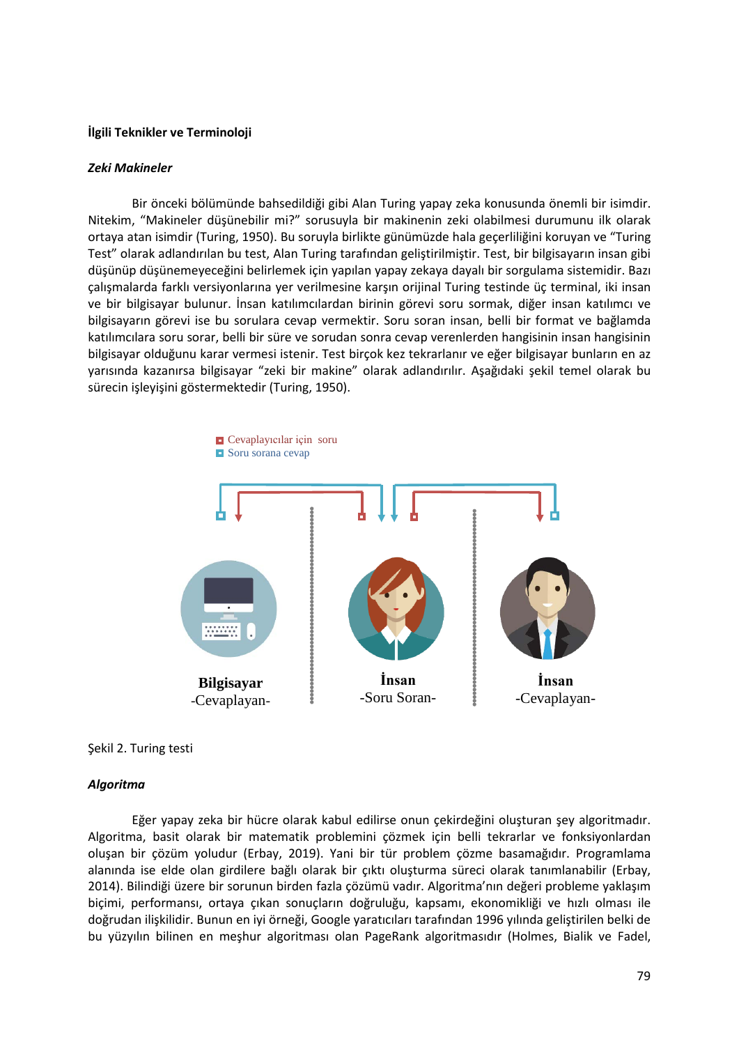#### **İlgili Teknikler ve Terminoloji**

#### *Zeki Makineler*

Bir önceki bölümünde bahsedildiği gibi Alan Turing yapay zeka konusunda önemli bir isimdir. Nitekim, "Makineler düşünebilir mi?" sorusuyla bir makinenin zeki olabilmesi durumunu ilk olarak ortaya atan isimdir (Turing, 1950). Bu soruyla birlikte günümüzde hala geçerliliğini koruyan ve "Turing Test" olarak adlandırılan bu test, Alan Turing tarafından geliştirilmiştir. Test, bir bilgisayarın insan gibi düşünüp düşünemeyeceğini belirlemek için yapılan yapay zekaya dayalı bir sorgulama sistemidir. Bazı çalışmalarda farklı versiyonlarına yer verilmesine karşın orijinal Turing testinde üç terminal, iki insan ve bir bilgisayar bulunur. İnsan katılımcılardan birinin görevi soru sormak, diğer insan katılımcı ve bilgisayarın görevi ise bu sorulara cevap vermektir. Soru soran insan, belli bir format ve bağlamda katılımcılara soru sorar, belli bir süre ve sorudan sonra cevap verenlerden hangisinin insan hangisinin bilgisayar olduğunu karar vermesi istenir. Test birçok kez tekrarlanır ve eğer bilgisayar bunların en az yarısında kazanırsa bilgisayar "zeki bir makine" olarak adlandırılır. Aşağıdaki şekil temel olarak bu sürecin işleyişini göstermektedir (Turing, 1950).



#### Şekil 2. Turing testi

#### *Algoritma*

Eğer yapay zeka bir hücre olarak kabul edilirse onun çekirdeğini oluşturan şey algoritmadır. Algoritma, basit olarak bir matematik problemini çözmek için belli tekrarlar ve fonksiyonlardan oluşan bir çözüm yoludur (Erbay, 2019). Yani bir tür problem çözme basamağıdır. Programlama alanında ise elde olan girdilere bağlı olarak bir çıktı oluşturma süreci olarak tanımlanabilir (Erbay, 2014). Bilindiği üzere bir sorunun birden fazla çözümü vadır. Algoritma'nın değeri probleme yaklaşım biçimi, performansı, ortaya çıkan sonuçların doğruluğu, kapsamı, ekonomikliği ve hızlı olması ile doğrudan ilişkilidir. Bunun en iyi örneği, Google yaratıcıları tarafından 1996 yılında geliştirilen belki de bu yüzyılın bilinen en meşhur algoritması olan PageRank algoritmasıdır (Holmes, Bialik ve Fadel,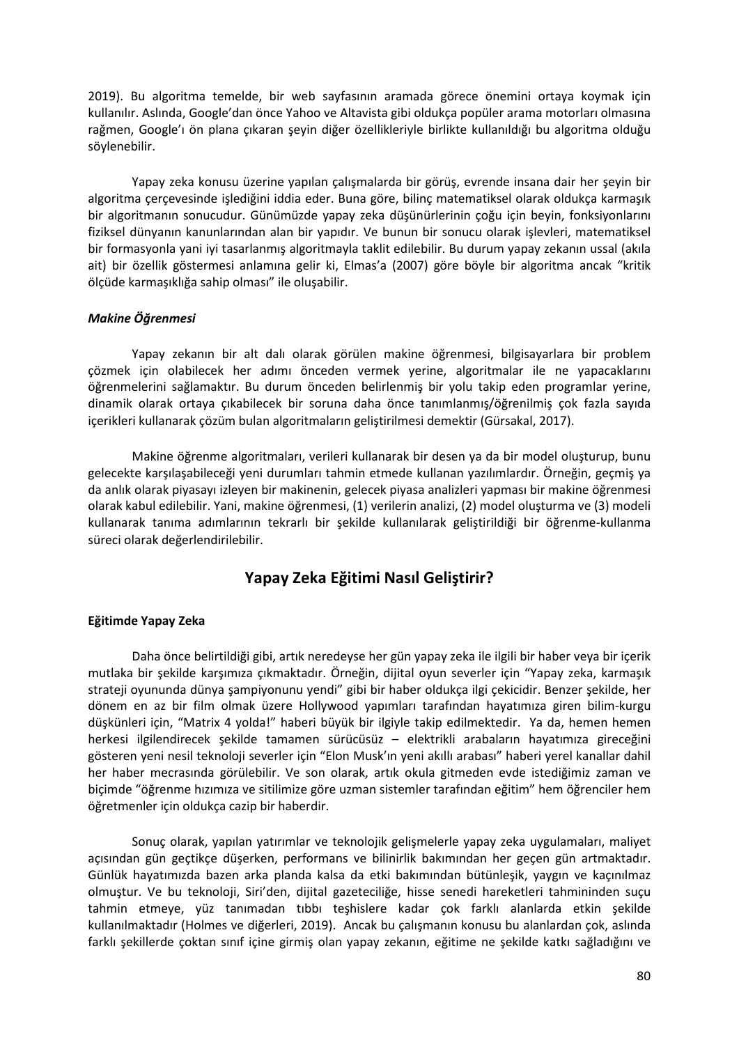2019). Bu algoritma temelde, bir web sayfasının aramada görece önemini ortaya koymak için kullanılır. Aslında, Google'dan önce Yahoo ve Altavista gibi oldukça popüler arama motorları olmasına rağmen, Google'ı ön plana çıkaran şeyin diğer özellikleriyle birlikte kullanıldığı bu algoritma olduğu söylenebilir.

Yapay zeka konusu üzerine yapılan çalışmalarda bir görüş, evrende insana dair her şeyin bir algoritma çerçevesinde işlediğini iddia eder. Buna göre, bilinç matematiksel olarak oldukça karmaşık bir algoritmanın sonucudur. Günümüzde yapay zeka düşünürlerinin çoğu için beyin, fonksiyonlarını fiziksel dünyanın kanunlarından alan bir yapıdır. Ve bunun bir sonucu olarak işlevleri, matematiksel bir formasyonla yani iyi tasarlanmış algoritmayla taklit edilebilir. Bu durum yapay zekanın ussal (akıla ait) bir özellik göstermesi anlamına gelir ki, Elmas'a (2007) göre böyle bir algoritma ancak "kritik ölçüde karmaşıklığa sahip olması" ile oluşabilir.

#### *Makine Öğrenmesi*

Yapay zekanın bir alt dalı olarak görülen makine öğrenmesi, bilgisayarlara bir problem çözmek için olabilecek her adımı önceden vermek yerine, algoritmalar ile ne yapacaklarını öğrenmelerini sağlamaktır. Bu durum önceden belirlenmiş bir yolu takip eden programlar yerine, dinamik olarak ortaya çıkabilecek bir soruna daha önce tanımlanmış/öğrenilmiş çok fazla sayıda içerikleri kullanarak çözüm bulan algoritmaların geliştirilmesi demektir (Gürsakal, 2017).

Makine öğrenme algoritmaları, verileri kullanarak bir desen ya da bir model oluşturup, bunu gelecekte karşılaşabileceği yeni durumları tahmin etmede kullanan yazılımlardır. Örneğin, geçmiş ya da anlık olarak piyasayı izleyen bir makinenin, gelecek piyasa analizleri yapması bir makine öğrenmesi olarak kabul edilebilir. Yani, makine öğrenmesi, (1) verilerin analizi, (2) model oluşturma ve (3) modeli kullanarak tanıma adımlarının tekrarlı bir şekilde kullanılarak geliştirildiği bir öğrenme-kullanma süreci olarak değerlendirilebilir.

## **Yapay Zeka Eğitimi Nasıl Geliştirir?**

#### **Eğitimde Yapay Zeka**

Daha önce belirtildiği gibi, artık neredeyse her gün yapay zeka ile ilgili bir haber veya bir içerik mutlaka bir şekilde karşımıza çıkmaktadır. Örneğin, dijital oyun severler için "Yapay zeka, karmaşık strateji oyununda dünya şampiyonunu yendi" gibi bir haber oldukça ilgi çekicidir. Benzer şekilde, her dönem en az bir film olmak üzere Hollywood yapımları tarafından hayatımıza giren bilim-kurgu düşkünleri için, "Matrix 4 yolda!" haberi büyük bir ilgiyle takip edilmektedir. Ya da, hemen hemen herkesi ilgilendirecek şekilde tamamen sürücüsüz – elektrikli arabaların hayatımıza gireceğini gösteren yeni nesil teknoloji severler için "Elon Musk'ın yeni akıllı arabası" haberi yerel kanallar dahil her haber mecrasında görülebilir. Ve son olarak, artık okula gitmeden evde istediğimiz zaman ve biçimde "öğrenme hızımıza ve sitilimize göre uzman sistemler tarafından eğitim" hem öğrenciler hem öğretmenler için oldukça cazip bir haberdir.

Sonuç olarak, yapılan yatırımlar ve teknolojik gelişmelerle yapay zeka uygulamaları, maliyet açısından gün geçtikçe düşerken, performans ve bilinirlik bakımından her geçen gün artmaktadır. Günlük hayatımızda bazen arka planda kalsa da etki bakımından bütünleşik, yaygın ve kaçınılmaz olmuştur. Ve bu teknoloji, Siri'den, dijital gazeteciliğe, hisse senedi hareketleri tahmininden suçu tahmin etmeye, yüz tanımadan tıbbı teşhislere kadar çok farklı alanlarda etkin şekilde kullanılmaktadır (Holmes ve diğerleri, 2019). Ancak bu çalışmanın konusu bu alanlardan çok, aslında farklı şekillerde çoktan sınıf içine girmiş olan yapay zekanın, eğitime ne şekilde katkı sağladığını ve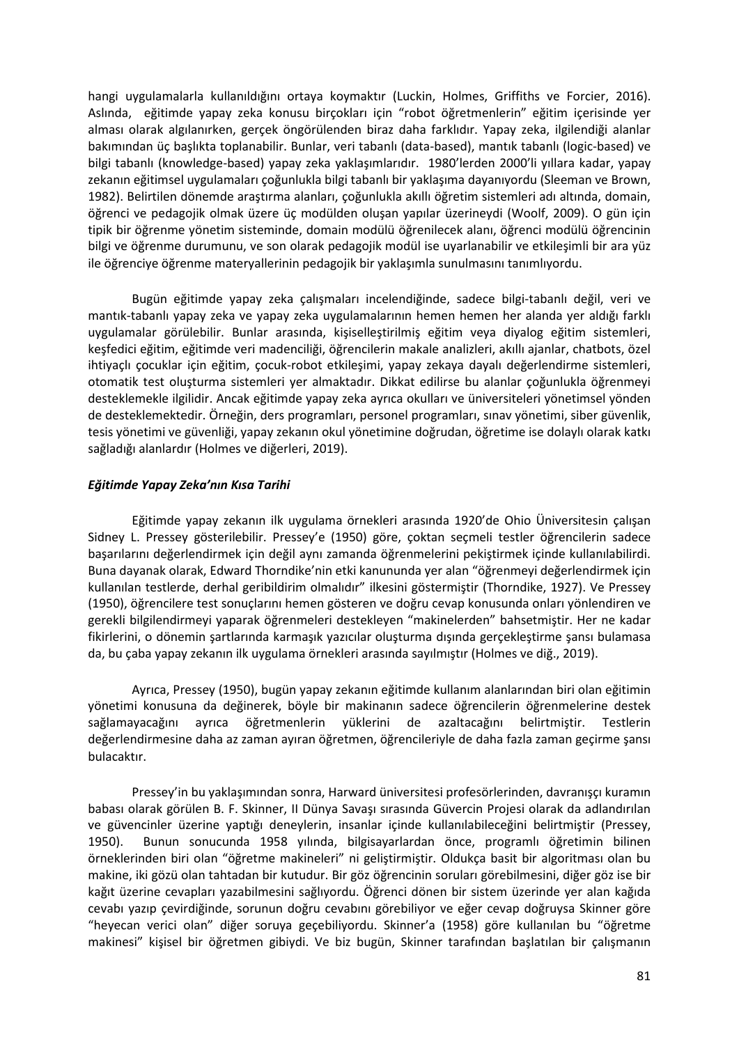hangi uygulamalarla kullanıldığını ortaya koymaktır (Luckin, Holmes, Griffiths ve Forcier, 2016). Aslında, eğitimde yapay zeka konusu birçokları için "robot öğretmenlerin" eğitim içerisinde yer alması olarak algılanırken, gerçek öngörülenden biraz daha farklıdır. Yapay zeka, ilgilendiği alanlar bakımından üç başlıkta toplanabilir. Bunlar, veri tabanlı (data-based), mantık tabanlı (logic-based) ve bilgi tabanlı (knowledge-based) yapay zeka yaklaşımlarıdır. 1980'lerden 2000'li yıllara kadar, yapay zekanın eğitimsel uygulamaları çoğunlukla bilgi tabanlı bir yaklaşıma dayanıyordu (Sleeman ve Brown, 1982). Belirtilen dönemde araştırma alanları, çoğunlukla akıllı öğretim sistemleri adı altında, domain, öğrenci ve pedagojik olmak üzere üç modülden oluşan yapılar üzerineydi (Woolf, 2009). O gün için tipik bir öğrenme yönetim sisteminde, domain modülü öğrenilecek alanı, öğrenci modülü öğrencinin bilgi ve öğrenme durumunu, ve son olarak pedagojik modül ise uyarlanabilir ve etkileşimli bir ara yüz ile öğrenciye öğrenme materyallerinin pedagojik bir yaklaşımla sunulmasını tanımlıyordu.

Bugün eğitimde yapay zeka çalışmaları incelendiğinde, sadece bilgi-tabanlı değil, veri ve mantık-tabanlı yapay zeka ve yapay zeka uygulamalarının hemen hemen her alanda yer aldığı farklı uygulamalar görülebilir. Bunlar arasında, kişiselleştirilmiş eğitim veya diyalog eğitim sistemleri, keşfedici eğitim, eğitimde veri madenciliği, öğrencilerin makale analizleri, akıllı ajanlar, chatbots, özel ihtiyaçlı çocuklar için eğitim, çocuk-robot etkileşimi, yapay zekaya dayalı değerlendirme sistemleri, otomatik test oluşturma sistemleri yer almaktadır. Dikkat edilirse bu alanlar çoğunlukla öğrenmeyi desteklemekle ilgilidir. Ancak eğitimde yapay zeka ayrıca okulları ve üniversiteleri yönetimsel yönden de desteklemektedir. Örneğin, ders programları, personel programları, sınav yönetimi, siber güvenlik, tesis yönetimi ve güvenliği, yapay zekanın okul yönetimine doğrudan, öğretime ise dolaylı olarak katkı sağladığı alanlardır (Holmes ve diğerleri, 2019).

## *Eğitimde Yapay Zeka'nın Kısa Tarihi*

Eğitimde yapay zekanın ilk uygulama örnekleri arasında 1920'de Ohio Üniversitesin çalışan Sidney L. Pressey gösterilebilir. Pressey'e (1950) göre, çoktan seçmeli testler öğrencilerin sadece başarılarını değerlendirmek için değil aynı zamanda öğrenmelerini pekiştirmek içinde kullanılabilirdi. Buna dayanak olarak, Edward Thorndike'nin etki kanununda yer alan "öğrenmeyi değerlendirmek için kullanılan testlerde, derhal geribildirim olmalıdır" ilkesini göstermiştir (Thorndike, 1927). Ve Pressey (1950), öğrencilere test sonuçlarını hemen gösteren ve doğru cevap konusunda onları yönlendiren ve gerekli bilgilendirmeyi yaparak öğrenmeleri destekleyen "makinelerden" bahsetmiştir. Her ne kadar fikirlerini, o dönemin şartlarında karmaşık yazıcılar oluşturma dışında gerçekleştirme şansı bulamasa da, bu çaba yapay zekanın ilk uygulama örnekleri arasında sayılmıştır (Holmes ve diğ., 2019).

Ayrıca, Pressey (1950), bugün yapay zekanın eğitimde kullanım alanlarından biri olan eğitimin yönetimi konusuna da değinerek, böyle bir makinanın sadece öğrencilerin öğrenmelerine destek sağlamayacağını ayrıca öğretmenlerin yüklerini de azaltacağını belirtmiştir. Testlerin değerlendirmesine daha az zaman ayıran öğretmen, öğrencileriyle de daha fazla zaman geçirme şansı bulacaktır.

Pressey'in bu yaklaşımından sonra, Harward üniversitesi profesörlerinden, davranışçı kuramın babası olarak görülen B. F. Skinner, II Dünya Savaşı sırasında Güvercin Projesi olarak da adlandırılan ve güvencinler üzerine yaptığı deneylerin, insanlar içinde kullanılabileceğini belirtmiştir (Pressey, 1950). Bunun sonucunda 1958 yılında, bilgisayarlardan önce, programlı öğretimin bilinen örneklerinden biri olan "öğretme makineleri" ni geliştirmiştir. Oldukça basit bir algoritması olan bu makine, iki gözü olan tahtadan bir kutudur. Bir göz öğrencinin soruları görebilmesini, diğer göz ise bir kağıt üzerine cevapları yazabilmesini sağlıyordu. Öğrenci dönen bir sistem üzerinde yer alan kağıda cevabı yazıp çevirdiğinde, sorunun doğru cevabını görebiliyor ve eğer cevap doğruysa Skinner göre "heyecan verici olan" diğer soruya geçebiliyordu. Skinner'a (1958) göre kullanılan bu "öğretme makinesi" kişisel bir öğretmen gibiydi. Ve biz bugün, Skinner tarafından başlatılan bir çalışmanın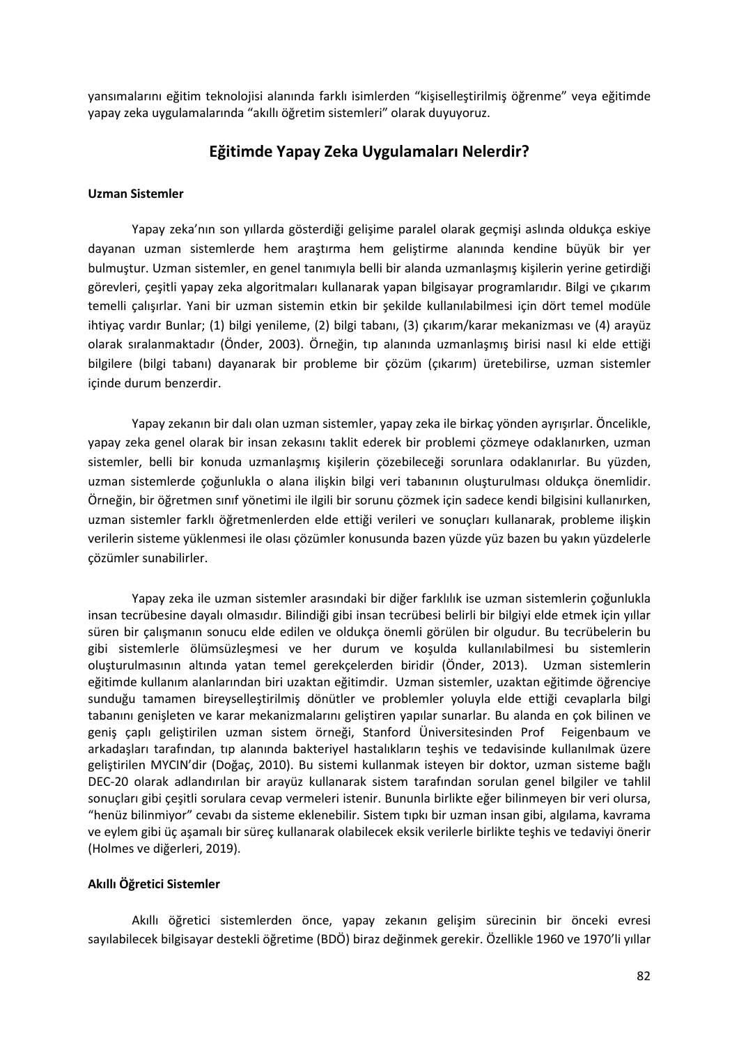yansımalarını eğitim teknolojisi alanında farklı isimlerden "kişiselleştirilmiş öğrenme" veya eğitimde yapay zeka uygulamalarında "akıllı öğretim sistemleri" olarak duyuyoruz.

## **Eğitimde Yapay Zeka Uygulamaları Nelerdir?**

#### **Uzman Sistemler**

Yapay zeka'nın son yıllarda gösterdiği gelişime paralel olarak geçmişi aslında oldukça eskiye dayanan uzman sistemlerde hem araştırma hem geliştirme alanında kendine büyük bir yer bulmuştur. Uzman sistemler, en genel tanımıyla belli bir alanda uzmanlaşmış kişilerin yerine getirdiği görevleri, çeşitli yapay zeka algoritmaları kullanarak yapan bilgisayar programlarıdır. Bilgi ve çıkarım temelli çalışırlar. Yani bir uzman sistemin etkin bir şekilde kullanılabilmesi için dört temel modüle ihtiyaç vardır Bunlar; (1) bilgi yenileme, (2) bilgi tabanı, (3) çıkarım/karar mekanizması ve (4) arayüz olarak sıralanmaktadır (Önder, 2003). Örneğin, tıp alanında uzmanlaşmış birisi nasıl ki elde ettiği bilgilere (bilgi tabanı) dayanarak bir probleme bir çözüm (çıkarım) üretebilirse, uzman sistemler içinde durum benzerdir.

Yapay zekanın bir dalı olan uzman sistemler, yapay zeka ile birkaç yönden ayrışırlar. Öncelikle, yapay zeka genel olarak bir insan zekasını taklit ederek bir problemi çözmeye odaklanırken, uzman sistemler, belli bir konuda uzmanlaşmış kişilerin çözebileceği sorunlara odaklanırlar. Bu yüzden, uzman sistemlerde çoğunlukla o alana ilişkin bilgi veri tabanının oluşturulması oldukça önemlidir. Örneğin, bir öğretmen sınıf yönetimi ile ilgili bir sorunu çözmek için sadece kendi bilgisini kullanırken, uzman sistemler farklı öğretmenlerden elde ettiği verileri ve sonuçları kullanarak, probleme ilişkin verilerin sisteme yüklenmesi ile olası çözümler konusunda bazen yüzde yüz bazen bu yakın yüzdelerle çözümler sunabilirler.

Yapay zeka ile uzman sistemler arasındaki bir diğer farklılık ise uzman sistemlerin çoğunlukla insan tecrübesine dayalı olmasıdır. Bilindiği gibi insan tecrübesi belirli bir bilgiyi elde etmek için yıllar süren bir çalışmanın sonucu elde edilen ve oldukça önemli görülen bir olgudur. Bu tecrübelerin bu gibi sistemlerle ölümsüzleşmesi ve her durum ve koşulda kullanılabilmesi bu sistemlerin oluşturulmasının altında yatan temel gerekçelerden biridir (Önder, 2013). Uzman sistemlerin eğitimde kullanım alanlarından biri uzaktan eğitimdir. Uzman sistemler, uzaktan eğitimde öğrenciye sunduğu tamamen bireyselleştirilmiş dönütler ve problemler yoluyla elde ettiği cevaplarla bilgi tabanını genişleten ve karar mekanizmalarını geliştiren yapılar sunarlar. Bu alanda en çok bilinen ve geniş çaplı geliştirilen uzman sistem örneği, Stanford Üniversitesinden Prof Feigenbaum ve arkadaşları tarafından, tıp alanında bakteriyel hastalıkların teşhis ve tedavisinde kullanılmak üzere geliştirilen MYCIN'dir (Doğaç, 2010). Bu sistemi kullanmak isteyen bir doktor, uzman sisteme bağlı DEC-20 olarak adlandırılan bir arayüz kullanarak sistem tarafından sorulan genel bilgiler ve tahlil sonuçları gibi çeşitli sorulara cevap vermeleri istenir. Bununla birlikte eğer bilinmeyen bir veri olursa, "henüz bilinmiyor" cevabı da sisteme eklenebilir. Sistem tıpkı bir uzman insan gibi, algılama, kavrama ve eylem gibi üç aşamalı bir süreç kullanarak olabilecek eksik verilerle birlikte teşhis ve tedaviyi önerir (Holmes ve diğerleri, 2019).

#### **Akıllı Öğretici Sistemler**

Akıllı öğretici sistemlerden önce, yapay zekanın gelişim sürecinin bir önceki evresi sayılabilecek bilgisayar destekli öğretime (BDÖ) biraz değinmek gerekir. Özellikle 1960 ve 1970'li yıllar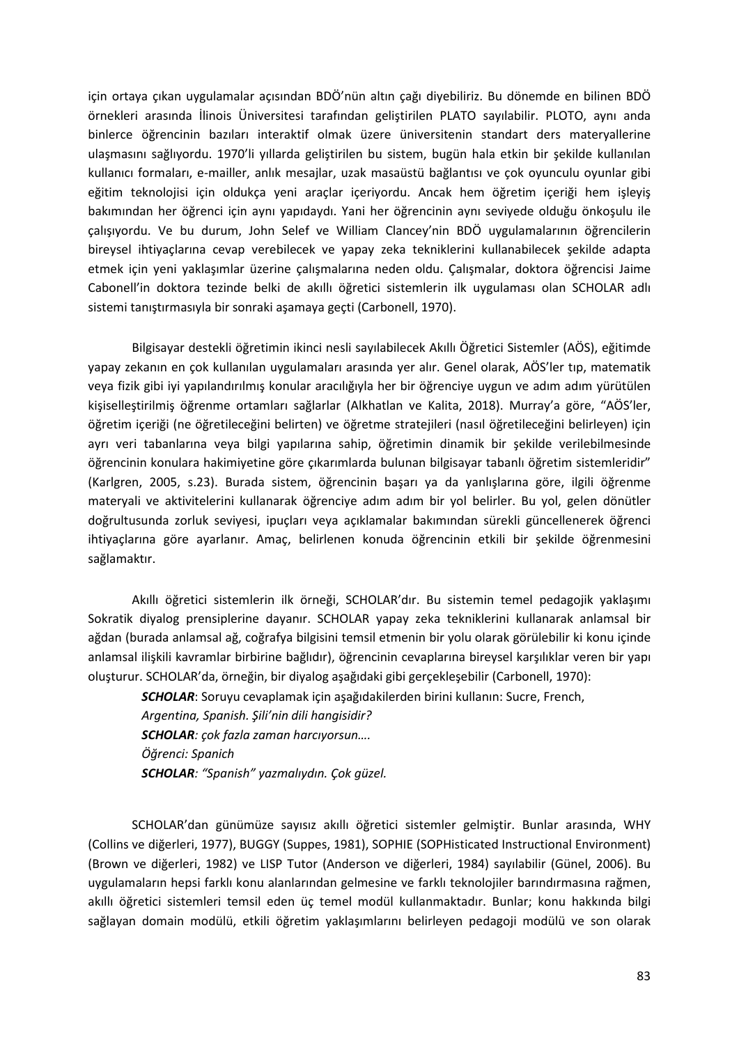için ortaya çıkan uygulamalar açısından BDÖ'nün altın çağı diyebiliriz. Bu dönemde en bilinen BDÖ örnekleri arasında İlinois Üniversitesi tarafından geliştirilen PLATO sayılabilir. PLOTO, aynı anda binlerce öğrencinin bazıları interaktif olmak üzere üniversitenin standart ders materyallerine ulaşmasını sağlıyordu. 1970'li yıllarda geliştirilen bu sistem, bugün hala etkin bir şekilde kullanılan kullanıcı formaları, e-mailler, anlık mesajlar, uzak masaüstü bağlantısı ve çok oyunculu oyunlar gibi eğitim teknolojisi için oldukça yeni araçlar içeriyordu. Ancak hem öğretim içeriği hem işleyiş bakımından her öğrenci için aynı yapıdaydı. Yani her öğrencinin aynı seviyede olduğu önkoşulu ile çalışıyordu. Ve bu durum, John Selef ve William Clancey'nin BDÖ uygulamalarının öğrencilerin bireysel ihtiyaçlarına cevap verebilecek ve yapay zeka tekniklerini kullanabilecek şekilde adapta etmek için yeni yaklaşımlar üzerine çalışmalarına neden oldu. Çalışmalar, doktora öğrencisi Jaime Cabonell'in doktora tezinde belki de akıllı öğretici sistemlerin ilk uygulaması olan SCHOLAR adlı sistemi tanıştırmasıyla bir sonraki aşamaya geçti (Carbonell, 1970).

Bilgisayar destekli öğretimin ikinci nesli sayılabilecek Akıllı Öğretici Sistemler (AÖS), eğitimde yapay zekanın en çok kullanılan uygulamaları arasında yer alır. Genel olarak, AÖS'ler tıp, matematik veya fizik gibi iyi yapılandırılmış konular aracılığıyla her bir öğrenciye uygun ve adım adım yürütülen kişiselleştirilmiş öğrenme ortamları sağlarlar (Alkhatlan ve Kalita, 2018). Murray'a göre, "AÖS'ler, öğretim içeriği (ne öğretileceğini belirten) ve öğretme stratejileri (nasıl öğretileceğini belirleyen) için ayrı veri tabanlarına veya bilgi yapılarına sahip, öğretimin dinamik bir şekilde verilebilmesinde öğrencinin konulara hakimiyetine göre çıkarımlarda bulunan bilgisayar tabanlı öğretim sistemleridir" (Karlgren, 2005, s.23). Burada sistem, öğrencinin başarı ya da yanlışlarına göre, ilgili öğrenme materyali ve aktivitelerini kullanarak öğrenciye adım adım bir yol belirler. Bu yol, gelen dönütler doğrultusunda zorluk seviyesi, ipuçları veya açıklamalar bakımından sürekli güncellenerek öğrenci ihtiyaçlarına göre ayarlanır. Amaç, belirlenen konuda öğrencinin etkili bir şekilde öğrenmesini sağlamaktır.

Akıllı öğretici sistemlerin ilk örneği, SCHOLAR'dır. Bu sistemin temel pedagojik yaklaşımı Sokratik diyalog prensiplerine dayanır. SCHOLAR yapay zeka tekniklerini kullanarak anlamsal bir ağdan (burada anlamsal ağ, coğrafya bilgisini temsil etmenin bir yolu olarak görülebilir ki konu içinde anlamsal ilişkili kavramlar birbirine bağlıdır), öğrencinin cevaplarına bireysel karşılıklar veren bir yapı oluşturur. SCHOLAR'da, örneğin, bir diyalog aşağıdaki gibi gerçekleşebilir (Carbonell, 1970):

*SCHOLAR*: Soruyu cevaplamak için aşağıdakilerden birini kullanın: Sucre, French,

*Argentina, Spanish. Şili'nin dili hangisidir?*

*SCHOLAR: çok fazla zaman harcıyorsun….*

*Öğrenci: Spanich*

*SCHOLAR: "Spanish" yazmalıydın. Çok güzel.* 

SCHOLAR'dan günümüze sayısız akıllı öğretici sistemler gelmiştir. Bunlar arasında, WHY (Collins ve diğerleri, 1977), BUGGY (Suppes, 1981), SOPHIE (SOPHisticated Instructional Environment) (Brown ve diğerleri, 1982) ve LISP Tutor (Anderson ve diğerleri, 1984) sayılabilir (Günel, 2006). Bu uygulamaların hepsi farklı konu alanlarından gelmesine ve farklı teknolojiler barındırmasına rağmen, akıllı öğretici sistemleri temsil eden üç temel modül kullanmaktadır. Bunlar; konu hakkında bilgi sağlayan domain modülü, etkili öğretim yaklaşımlarını belirleyen pedagoji modülü ve son olarak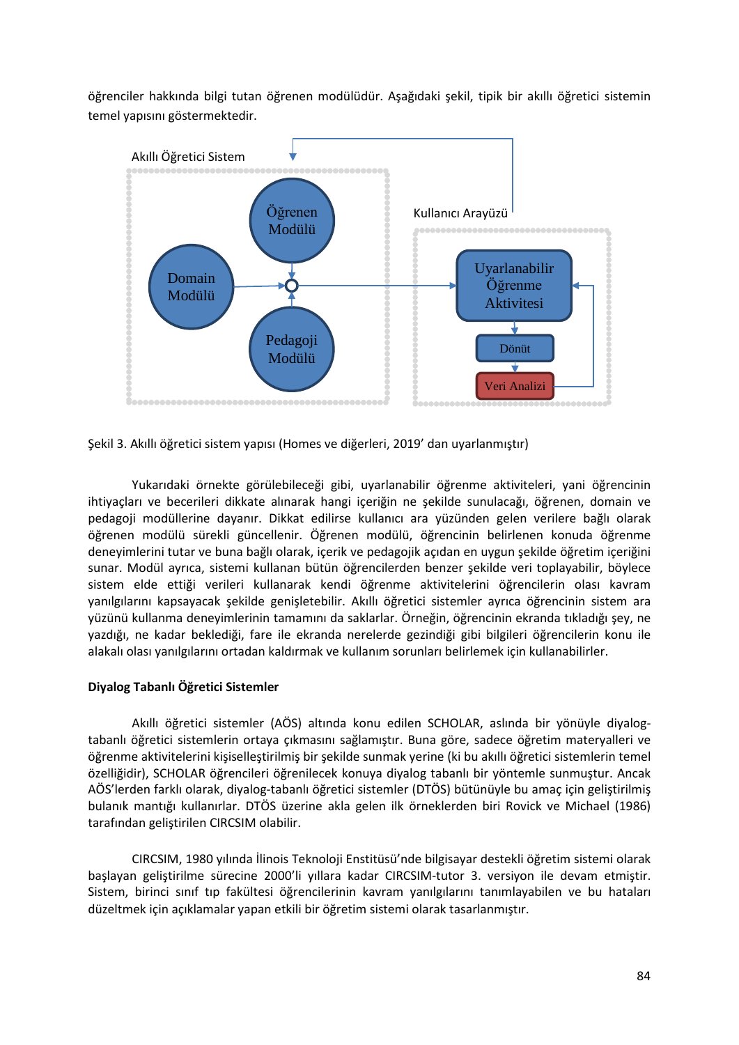öğrenciler hakkında bilgi tutan öğrenen modülüdür. Aşağıdaki şekil, tipik bir akıllı öğretici sistemin temel yapısını göstermektedir.



Şekil 3. Akıllı öğretici sistem yapısı (Homes ve diğerleri, 2019' dan uyarlanmıştır)

Yukarıdaki örnekte görülebileceği gibi, uyarlanabilir öğrenme aktiviteleri, yani öğrencinin ihtiyaçları ve becerileri dikkate alınarak hangi içeriğin ne şekilde sunulacağı, öğrenen, domain ve pedagoji modüllerine dayanır. Dikkat edilirse kullanıcı ara yüzünden gelen verilere bağlı olarak öğrenen modülü sürekli güncellenir. Öğrenen modülü, öğrencinin belirlenen konuda öğrenme deneyimlerini tutar ve buna bağlı olarak, içerik ve pedagojik açıdan en uygun şekilde öğretim içeriğini sunar. Modül ayrıca, sistemi kullanan bütün öğrencilerden benzer şekilde veri toplayabilir, böylece sistem elde ettiği verileri kullanarak kendi öğrenme aktivitelerini öğrencilerin olası kavram yanılgılarını kapsayacak şekilde genişletebilir. Akıllı öğretici sistemler ayrıca öğrencinin sistem ara yüzünü kullanma deneyimlerinin tamamını da saklarlar. Örneğin, öğrencinin ekranda tıkladığı şey, ne yazdığı, ne kadar beklediği, fare ile ekranda nerelerde gezindiği gibi bilgileri öğrencilerin konu ile alakalı olası yanılgılarını ortadan kaldırmak ve kullanım sorunları belirlemek için kullanabilirler.

### **Diyalog Tabanlı Öğretici Sistemler**

Akıllı öğretici sistemler (AÖS) altında konu edilen SCHOLAR, aslında bir yönüyle diyalogtabanlı öğretici sistemlerin ortaya çıkmasını sağlamıştır. Buna göre, sadece öğretim materyalleri ve öğrenme aktivitelerini kişiselleştirilmiş bir şekilde sunmak yerine (ki bu akıllı öğretici sistemlerin temel özelliğidir), SCHOLAR öğrencileri öğrenilecek konuya diyalog tabanlı bir yöntemle sunmuştur. Ancak AÖS'lerden farklı olarak, diyalog-tabanlı öğretici sistemler (DTÖS) bütünüyle bu amaç için geliştirilmiş bulanık mantığı kullanırlar. DTÖS üzerine akla gelen ilk örneklerden biri Rovick ve Michael (1986) tarafından geliştirilen CIRCSIM olabilir.

CIRCSIM, 1980 yılında İlinois Teknoloji Enstitüsü'nde bilgisayar destekli öğretim sistemi olarak başlayan geliştirilme sürecine 2000'li yıllara kadar CIRCSIM-tutor 3. versiyon ile devam etmiştir. Sistem, birinci sınıf tıp fakültesi öğrencilerinin kavram yanılgılarını tanımlayabilen ve bu hataları düzeltmek için açıklamalar yapan etkili bir öğretim sistemi olarak tasarlanmıştır.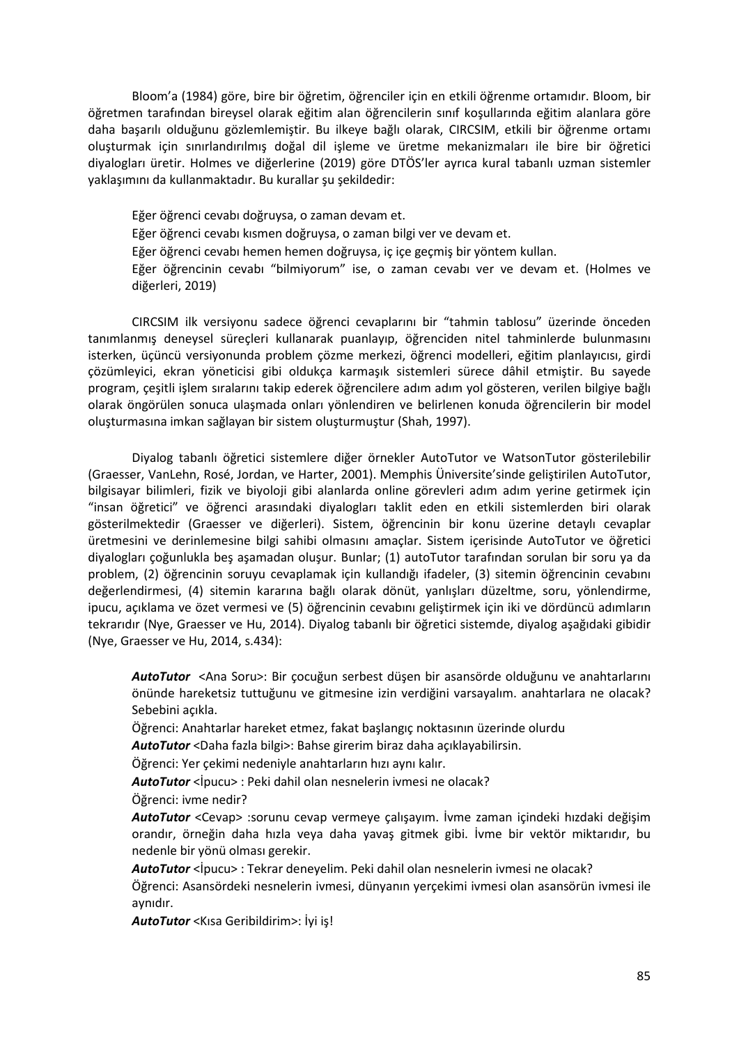Bloom'a (1984) göre, bire bir öğretim, öğrenciler için en etkili öğrenme ortamıdır. Bloom, bir öğretmen tarafından bireysel olarak eğitim alan öğrencilerin sınıf koşullarında eğitim alanlara göre daha başarılı olduğunu gözlemlemiştir. Bu ilkeye bağlı olarak, CIRCSIM, etkili bir öğrenme ortamı oluşturmak için sınırlandırılmış doğal dil işleme ve üretme mekanizmaları ile bire bir öğretici diyalogları üretir. Holmes ve diğerlerine (2019) göre DTÖS'ler ayrıca kural tabanlı uzman sistemler yaklaşımını da kullanmaktadır. Bu kurallar şu şekildedir:

Eğer öğrenci cevabı doğruysa, o zaman devam et. Eğer öğrenci cevabı kısmen doğruysa, o zaman bilgi ver ve devam et. Eğer öğrenci cevabı hemen hemen doğruysa, iç içe geçmiş bir yöntem kullan. Eğer öğrencinin cevabı "bilmiyorum" ise, o zaman cevabı ver ve devam et. (Holmes ve diğerleri, 2019)

CIRCSIM ilk versiyonu sadece öğrenci cevaplarını bir "tahmin tablosu" üzerinde önceden tanımlanmış deneysel süreçleri kullanarak puanlayıp, öğrenciden nitel tahminlerde bulunmasını isterken, üçüncü versiyonunda problem çözme merkezi, öğrenci modelleri, eğitim planlayıcısı, girdi çözümleyici, ekran yöneticisi gibi oldukça karmaşık sistemleri sürece dâhil etmiştir. Bu sayede program, çeşitli işlem sıralarını takip ederek öğrencilere adım adım yol gösteren, verilen bilgiye bağlı olarak öngörülen sonuca ulaşmada onları yönlendiren ve belirlenen konuda öğrencilerin bir model oluşturmasına imkan sağlayan bir sistem oluşturmuştur (Shah, 1997).

Diyalog tabanlı öğretici sistemlere diğer örnekler AutoTutor ve WatsonTutor gösterilebilir (Graesser, VanLehn, Rosé, Jordan, ve Harter, 2001). Memphis Üniversite'sinde geliştirilen AutoTutor, bilgisayar bilimleri, fizik ve biyoloji gibi alanlarda online görevleri adım adım yerine getirmek için "insan öğretici" ve öğrenci arasındaki diyalogları taklit eden en etkili sistemlerden biri olarak gösterilmektedir (Graesser ve diğerleri). Sistem, öğrencinin bir konu üzerine detaylı cevaplar üretmesini ve derinlemesine bilgi sahibi olmasını amaçlar. Sistem içerisinde AutoTutor ve öğretici diyalogları çoğunlukla beş aşamadan oluşur. Bunlar; (1) autoTutor tarafından sorulan bir soru ya da problem, (2) öğrencinin soruyu cevaplamak için kullandığı ifadeler, (3) sitemin öğrencinin cevabını değerlendirmesi, (4) sitemin kararına bağlı olarak dönüt, yanlışları düzeltme, soru, yönlendirme, ipucu, açıklama ve özet vermesi ve (5) öğrencinin cevabını geliştirmek için iki ve dördüncü adımların tekrarıdır (Nye, Graesser ve Hu, 2014). Diyalog tabanlı bir öğretici sistemde, diyalog aşağıdaki gibidir (Nye, Graesser ve Hu, 2014, s.434):

*AutoTutor* <Ana Soru>: Bir çocuğun serbest düşen bir asansörde olduğunu ve anahtarlarını önünde hareketsiz tuttuğunu ve gitmesine izin verdiğini varsayalım. anahtarlara ne olacak? Sebebini açıkla.

Öğrenci: Anahtarlar hareket etmez, fakat başlangıç noktasının üzerinde olurdu

*AutoTutor* <Daha fazla bilgi>: Bahse girerim biraz daha açıklayabilirsin.

Öğrenci: Yer çekimi nedeniyle anahtarların hızı aynı kalır.

*AutoTutor* <İpucu> : Peki dahil olan nesnelerin ivmesi ne olacak?

Öğrenci: ivme nedir?

*AutoTutor* <Cevap> :sorunu cevap vermeye çalışayım. İvme zaman içindeki hızdaki değişim orandır, örneğin daha hızla veya daha yavaş gitmek gibi. İvme bir vektör miktarıdır, bu nedenle bir yönü olması gerekir.

*AutoTutor* <İpucu> : Tekrar deneyelim. Peki dahil olan nesnelerin ivmesi ne olacak?

Öğrenci: Asansördeki nesnelerin ivmesi, dünyanın yerçekimi ivmesi olan asansörün ivmesi ile aynıdır.

*AutoTutor* <Kısa Geribildirim>: İyi iş!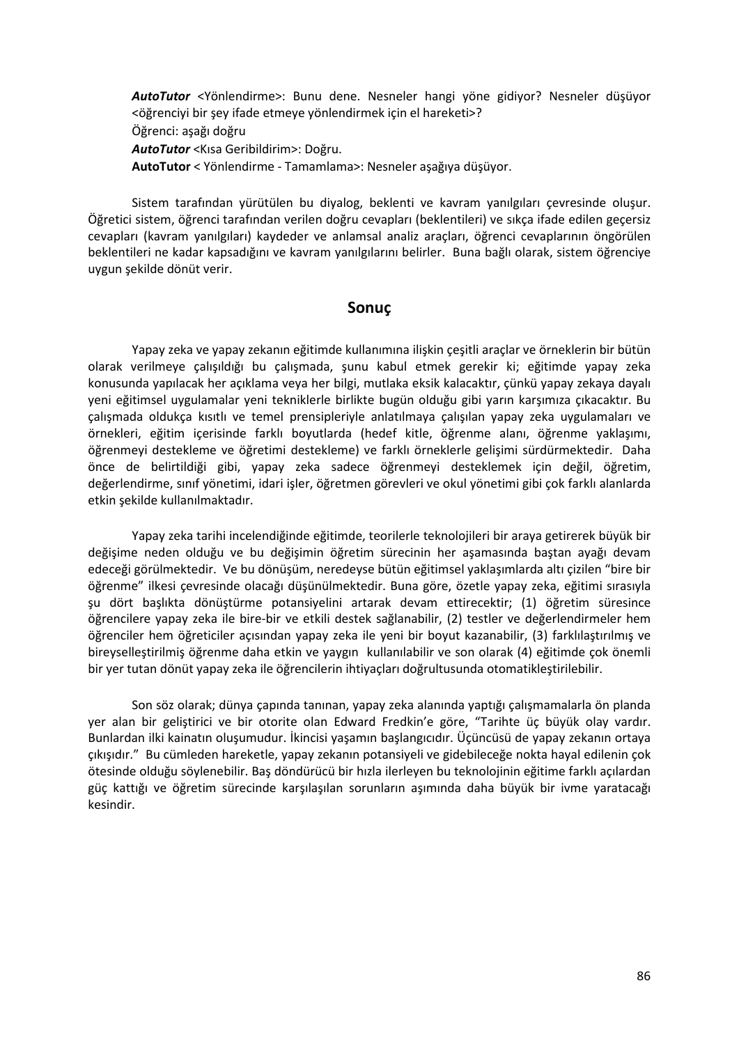*AutoTutor* <Yönlendirme>: Bunu dene. Nesneler hangi yöne gidiyor? Nesneler düşüyor <öğrenciyi bir şey ifade etmeye yönlendirmek için el hareketi>? Öğrenci: aşağı doğru *AutoTutor* <Kısa Geribildirim>: Doğru. **AutoTutor** < Yönlendirme - Tamamlama>: Nesneler aşağıya düşüyor.

Sistem tarafından yürütülen bu diyalog, beklenti ve kavram yanılgıları çevresinde oluşur. Öğretici sistem, öğrenci tarafından verilen doğru cevapları (beklentileri) ve sıkça ifade edilen geçersiz cevapları (kavram yanılgıları) kaydeder ve anlamsal analiz araçları, öğrenci cevaplarının öngörülen beklentileri ne kadar kapsadığını ve kavram yanılgılarını belirler. Buna bağlı olarak, sistem öğrenciye uygun şekilde dönüt verir.

## **Sonuç**

Yapay zeka ve yapay zekanın eğitimde kullanımına ilişkin çeşitli araçlar ve örneklerin bir bütün olarak verilmeye çalışıldığı bu çalışmada, şunu kabul etmek gerekir ki; eğitimde yapay zeka konusunda yapılacak her açıklama veya her bilgi, mutlaka eksik kalacaktır, çünkü yapay zekaya dayalı yeni eğitimsel uygulamalar yeni tekniklerle birlikte bugün olduğu gibi yarın karşımıza çıkacaktır. Bu çalışmada oldukça kısıtlı ve temel prensipleriyle anlatılmaya çalışılan yapay zeka uygulamaları ve örnekleri, eğitim içerisinde farklı boyutlarda (hedef kitle, öğrenme alanı, öğrenme yaklaşımı, öğrenmeyi destekleme ve öğretimi destekleme) ve farklı örneklerle gelişimi sürdürmektedir. Daha önce de belirtildiği gibi, yapay zeka sadece öğrenmeyi desteklemek için değil, öğretim, değerlendirme, sınıf yönetimi, idari işler, öğretmen görevleri ve okul yönetimi gibi çok farklı alanlarda etkin şekilde kullanılmaktadır.

Yapay zeka tarihi incelendiğinde eğitimde, teorilerle teknolojileri bir araya getirerek büyük bir değişime neden olduğu ve bu değişimin öğretim sürecinin her aşamasında baştan ayağı devam edeceği görülmektedir. Ve bu dönüşüm, neredeyse bütün eğitimsel yaklaşımlarda altı çizilen "bire bir öğrenme" ilkesi çevresinde olacağı düşünülmektedir. Buna göre, özetle yapay zeka, eğitimi sırasıyla şu dört başlıkta dönüştürme potansiyelini artarak devam ettirecektir; (1) öğretim süresince öğrencilere yapay zeka ile bire-bir ve etkili destek sağlanabilir, (2) testler ve değerlendirmeler hem öğrenciler hem öğreticiler açısından yapay zeka ile yeni bir boyut kazanabilir, (3) farklılaştırılmış ve bireyselleştirilmiş öğrenme daha etkin ve yaygın kullanılabilir ve son olarak (4) eğitimde çok önemli bir yer tutan dönüt yapay zeka ile öğrencilerin ihtiyaçları doğrultusunda otomatikleştirilebilir.

Son söz olarak; dünya çapında tanınan, yapay zeka alanında yaptığı çalışmamalarla ön planda yer alan bir geliştirici ve bir otorite olan Edward Fredkin'e göre, "Tarihte üç büyük olay vardır. Bunlardan ilki kainatın oluşumudur. İkincisi yaşamın başlangıcıdır. Üçüncüsü de yapay zekanın ortaya çıkışıdır." Bu cümleden hareketle, yapay zekanın potansiyeli ve gidebileceğe nokta hayal edilenin çok ötesinde olduğu söylenebilir. Baş döndürücü bir hızla ilerleyen bu teknolojinin eğitime farklı açılardan güç kattığı ve öğretim sürecinde karşılaşılan sorunların aşımında daha büyük bir ivme yaratacağı kesindir.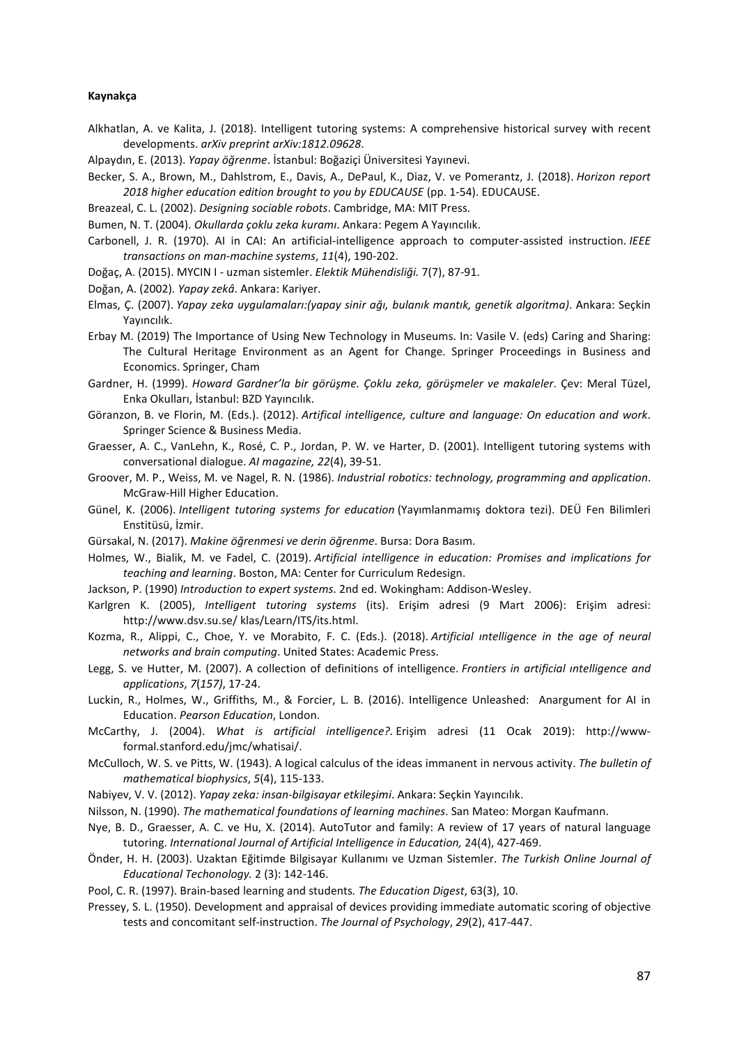#### **Kaynakça**

- Alkhatlan, A. ve Kalita, J. (2018). Intelligent tutoring systems: A comprehensive historical survey with recent developments. *arXiv preprint arXiv:1812.09628*.
- Alpaydın, E. (2013). *Yapay öğrenme*. İstanbul: Boğaziçi Üniversitesi Yayınevi.
- Becker, S. A., Brown, M., Dahlstrom, E., Davis, A., DePaul, K., Diaz, V. ve Pomerantz, J. (2018). *Horizon report 2018 higher education edition brought to you by EDUCAUSE* (pp. 1-54). EDUCAUSE.
- Breazeal, C. L. (2002). *Designing sociable robots*. Cambridge, MA: MIT Press.
- Bumen, N. T. (2004). *Okullarda çoklu zeka kuramı*. Ankara: Pegem A Yayıncılık.
- Carbonell, J. R. (1970). AI in CAI: An artificial-intelligence approach to computer-assisted instruction. *IEEE transactions on man-machine systems*, *11*(4), 190-202.
- Doğaç, A. (2015). MYCIN I uzman sistemler. *Elektik Mühendisliği.* 7(7), 87-91.
- Doğan, A. (2002). *Yapay zekâ*. Ankara: Kariyer.
- Elmas, Ç. (2007). *Yapay zeka uygulamaları:(yapay sinir ağı, bulanık mantık, genetik algoritma)*. Ankara: Seçkin Yayıncılık.
- Erbay M. (2019) The Importance of Using New Technology in Museums. In: Vasile V. (eds) Caring and Sharing: The Cultural Heritage Environment as an Agent for Change. Springer Proceedings in Business and Economics. Springer, Cham
- Gardner, H. (1999). *Howard Gardner'la bir görüşme. Çoklu zeka, görüşmeler ve makaleler*. Çev: Meral Tüzel, Enka Okulları, İstanbul: BZD Yayıncılık.
- Göranzon, B. ve Florin, M. (Eds.). (2012). *Artifical intelligence, culture and language: On education and work*. Springer Science & Business Media.
- Graesser, A. C., VanLehn, K., Rosé, C. P., Jordan, P. W. ve Harter, D. (2001). Intelligent tutoring systems with conversational dialogue. *AI magazine, 22*(4), 39-51.
- Groover, M. P., Weiss, M. ve Nagel, R. N. (1986). *Industrial robotics: technology, programming and application*. McGraw-Hill Higher Education.
- Günel, K. (2006). *Intelligent tutoring systems for education* (Yayımlanmamış doktora tezi). DEÜ Fen Bilimleri Enstitüsü, İzmir.
- Gürsakal, N. (2017). *Makine öğrenmesi ve derin öğrenme*. Bursa: Dora Basım.
- Holmes, W., Bialik, M. ve Fadel, C. (2019). *Artificial intelligence in education: Promises and implications for teaching and learning*. Boston, MA: Center for Curriculum Redesign.
- Jackson, P. (1990) *Introduction to expert systems*. 2nd ed. Wokingham: Addison-Wesley.
- Karlgren K. (2005), *Intelligent tutoring systems* (its). Erişim adresi (9 Mart 2006): Erişim adresi: http://www.dsv.su.se/ klas/Learn/ITS/its.html.
- Kozma, R., Alippi, C., Choe, Y. ve Morabito, F. C. (Eds.). (2018). *Artificial ıntelligence in the age of neural networks and brain computing*. United States: Academic Press.
- Legg, S. ve Hutter, M. (2007). A collection of definitions of intelligence. *Frontiers in artificial ıntelligence and applications*, *7*(*157)*, 17-24.
- Luckin, R., Holmes, W., Griffiths, M., & Forcier, L. B. (2016). Intelligence Unleashed: Anargument for AI in Education. *Pearson Education*, London.
- McCarthy, J. (2004). *What is artificial intelligence?*. Erişim adresi (11 Ocak 2019): http://wwwformal.stanford.edu/jmc/whatisai/.
- McCulloch, W. S. ve Pitts, W. (1943). A logical calculus of the ideas immanent in nervous activity. *The bulletin of mathematical biophysics*, *5*(4), 115-133.
- Nabiyev, V. V. (2012). *Yapay zeka: insan-bilgisayar etkileşimi*. Ankara: Seçkin Yayıncılık.
- Nilsson, N. (1990). *The mathematical foundations of learning machines*. San Mateo: Morgan Kaufmann.
- Nye, B. D., Graesser, A. C. ve Hu, X. (2014). AutoTutor and family: A review of 17 years of natural language tutoring. *International Journal of Artificial Intelligence in Education,* 24(4), 427-469.
- Önder, H. H. (2003). Uzaktan Eğitimde Bilgisayar Kullanımı ve Uzman Sistemler. *The Turkish Online Journal of Educational Techonology.* 2 (3): 142-146.
- Pool, C. R. (1997). Brain-based learning and students*. The Education Digest*, 63(3), 10.
- Pressey, S. L. (1950). Development and appraisal of devices providing immediate automatic scoring of objective tests and concomitant self-instruction. *The Journal of Psychology*, *29*(2), 417-447.